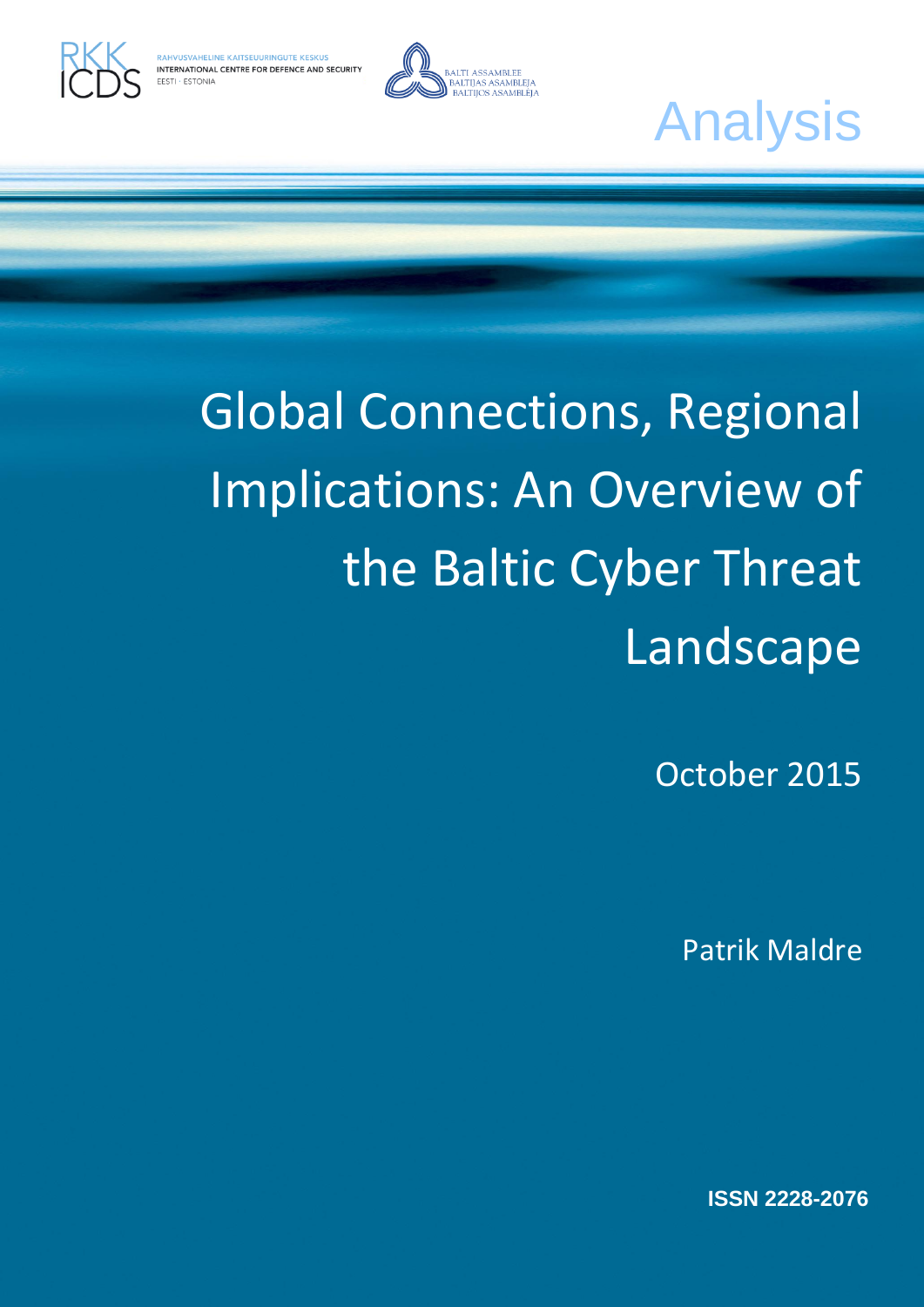



NTERNATIONAL CENTRE FOR DEFENCE AND SECURITY

# Global Connections, Regional Implications: An Overview of the Baltic Cyber Threat Landscape

October 2015

Patrik Maldre

**ISSN 2228-2076**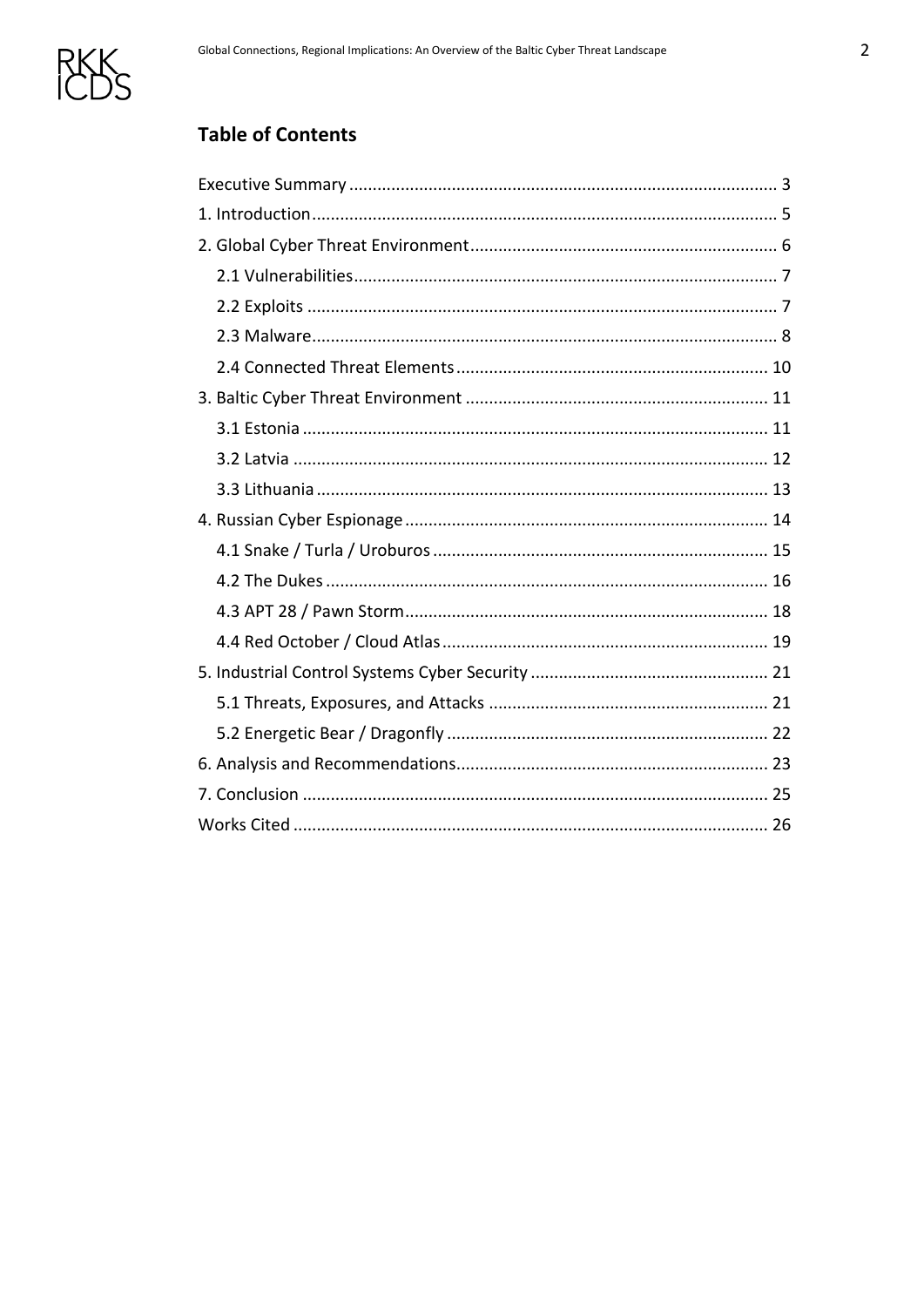

# **Table of Contents**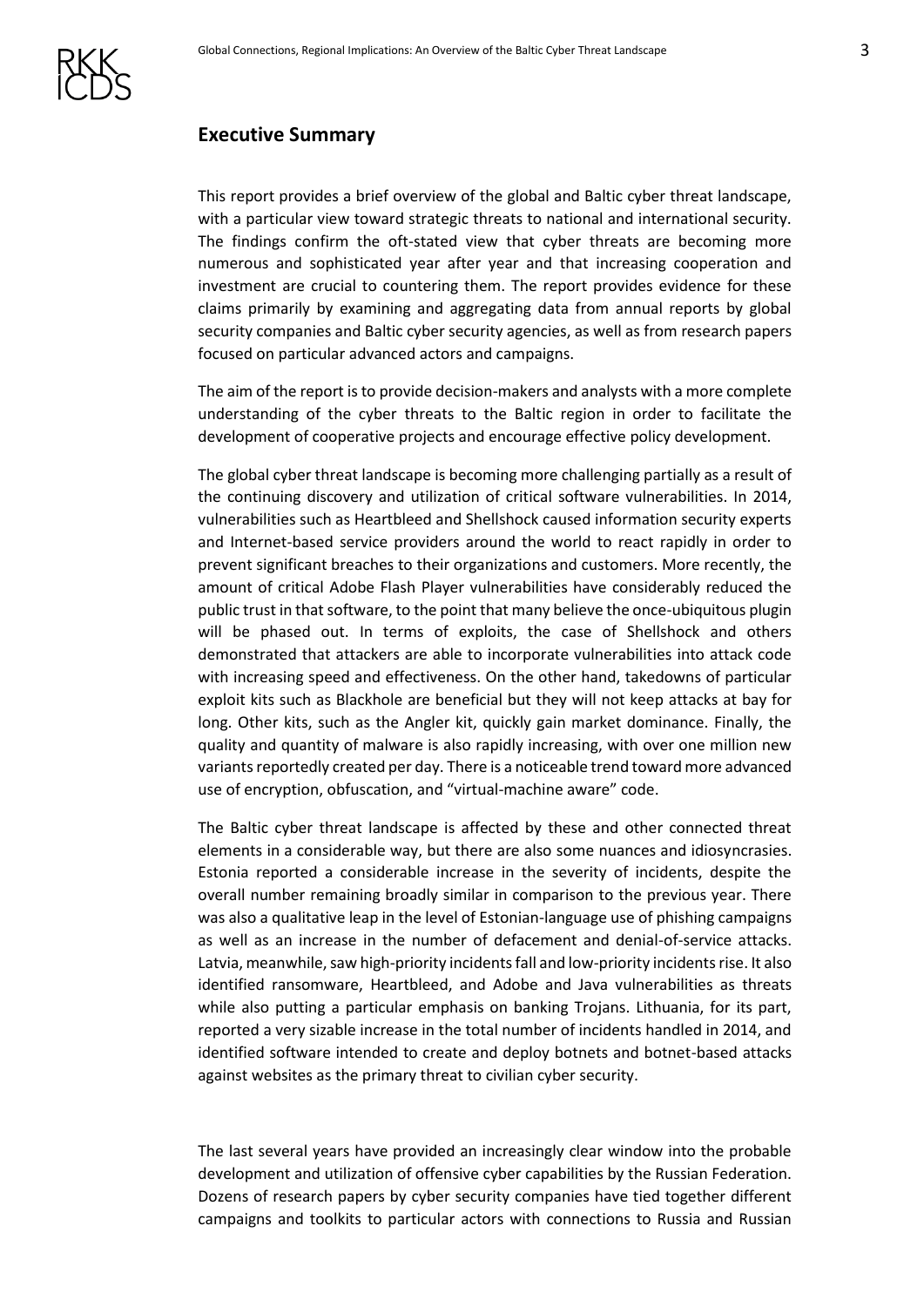

## <span id="page-2-0"></span>**Executive Summary**

This report provides a brief overview of the global and Baltic cyber threat landscape, with a particular view toward strategic threats to national and international security. The findings confirm the oft-stated view that cyber threats are becoming more numerous and sophisticated year after year and that increasing cooperation and investment are crucial to countering them. The report provides evidence for these claims primarily by examining and aggregating data from annual reports by global security companies and Baltic cyber security agencies, as well as from research papers focused on particular advanced actors and campaigns.

The aim of the report is to provide decision-makers and analysts with a more complete understanding of the cyber threats to the Baltic region in order to facilitate the development of cooperative projects and encourage effective policy development.

The global cyber threat landscape is becoming more challenging partially as a result of the continuing discovery and utilization of critical software vulnerabilities. In 2014, vulnerabilities such as Heartbleed and Shellshock caused information security experts and Internet-based service providers around the world to react rapidly in order to prevent significant breaches to their organizations and customers. More recently, the amount of critical Adobe Flash Player vulnerabilities have considerably reduced the public trust in that software, to the point that many believe the once-ubiquitous plugin will be phased out. In terms of exploits, the case of Shellshock and others demonstrated that attackers are able to incorporate vulnerabilities into attack code with increasing speed and effectiveness. On the other hand, takedowns of particular exploit kits such as Blackhole are beneficial but they will not keep attacks at bay for long. Other kits, such as the Angler kit, quickly gain market dominance. Finally, the quality and quantity of malware is also rapidly increasing, with over one million new variants reportedly created per day. There is a noticeable trend toward more advanced use of encryption, obfuscation, and "virtual-machine aware" code.

The Baltic cyber threat landscape is affected by these and other connected threat elements in a considerable way, but there are also some nuances and idiosyncrasies. Estonia reported a considerable increase in the severity of incidents, despite the overall number remaining broadly similar in comparison to the previous year. There was also a qualitative leap in the level of Estonian-language use of phishing campaigns as well as an increase in the number of defacement and denial-of-service attacks. Latvia, meanwhile, saw high-priority incidents fall and low-priority incidents rise. It also identified ransomware, Heartbleed, and Adobe and Java vulnerabilities as threats while also putting a particular emphasis on banking Trojans. Lithuania, for its part, reported a very sizable increase in the total number of incidents handled in 2014, and identified software intended to create and deploy botnets and botnet-based attacks against websites as the primary threat to civilian cyber security.

The last several years have provided an increasingly clear window into the probable development and utilization of offensive cyber capabilities by the Russian Federation. Dozens of research papers by cyber security companies have tied together different campaigns and toolkits to particular actors with connections to Russia and Russian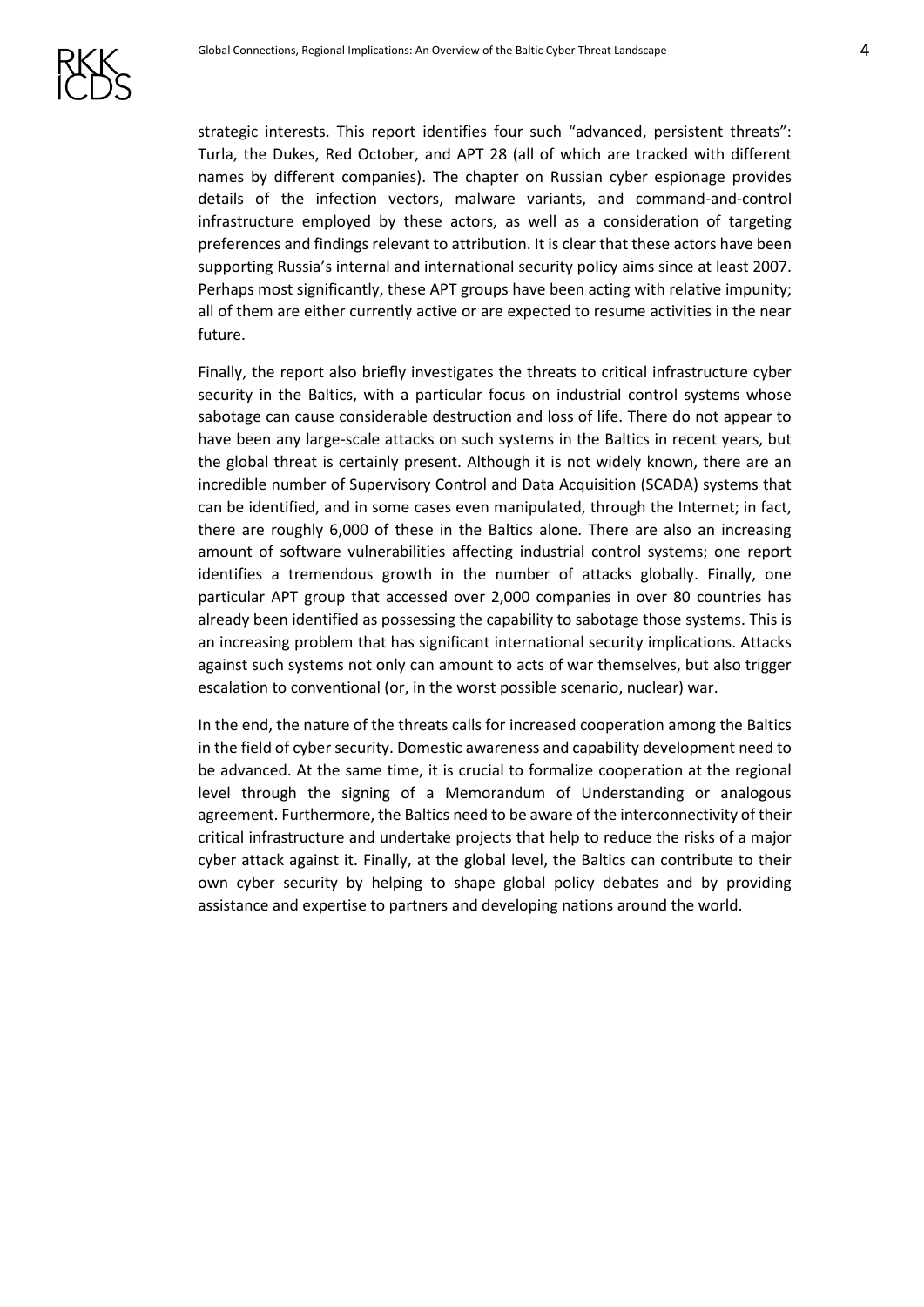

strategic interests. This report identifies four such "advanced, persistent threats": Turla, the Dukes, Red October, and APT 28 (all of which are tracked with different names by different companies). The chapter on Russian cyber espionage provides details of the infection vectors, malware variants, and command-and-control infrastructure employed by these actors, as well as a consideration of targeting preferences and findings relevant to attribution. It is clear that these actors have been supporting Russia's internal and international security policy aims since at least 2007. Perhaps most significantly, these APT groups have been acting with relative impunity; all of them are either currently active or are expected to resume activities in the near future.

Finally, the report also briefly investigates the threats to critical infrastructure cyber security in the Baltics, with a particular focus on industrial control systems whose sabotage can cause considerable destruction and loss of life. There do not appear to have been any large-scale attacks on such systems in the Baltics in recent years, but the global threat is certainly present. Although it is not widely known, there are an incredible number of Supervisory Control and Data Acquisition (SCADA) systems that can be identified, and in some cases even manipulated, through the Internet; in fact, there are roughly 6,000 of these in the Baltics alone. There are also an increasing amount of software vulnerabilities affecting industrial control systems; one report identifies a tremendous growth in the number of attacks globally. Finally, one particular APT group that accessed over 2,000 companies in over 80 countries has already been identified as possessing the capability to sabotage those systems. This is an increasing problem that has significant international security implications. Attacks against such systems not only can amount to acts of war themselves, but also trigger escalation to conventional (or, in the worst possible scenario, nuclear) war.

In the end, the nature of the threats calls for increased cooperation among the Baltics in the field of cyber security. Domestic awareness and capability development need to be advanced. At the same time, it is crucial to formalize cooperation at the regional level through the signing of a Memorandum of Understanding or analogous agreement. Furthermore, the Baltics need to be aware of the interconnectivity of their critical infrastructure and undertake projects that help to reduce the risks of a major cyber attack against it. Finally, at the global level, the Baltics can contribute to their own cyber security by helping to shape global policy debates and by providing assistance and expertise to partners and developing nations around the world.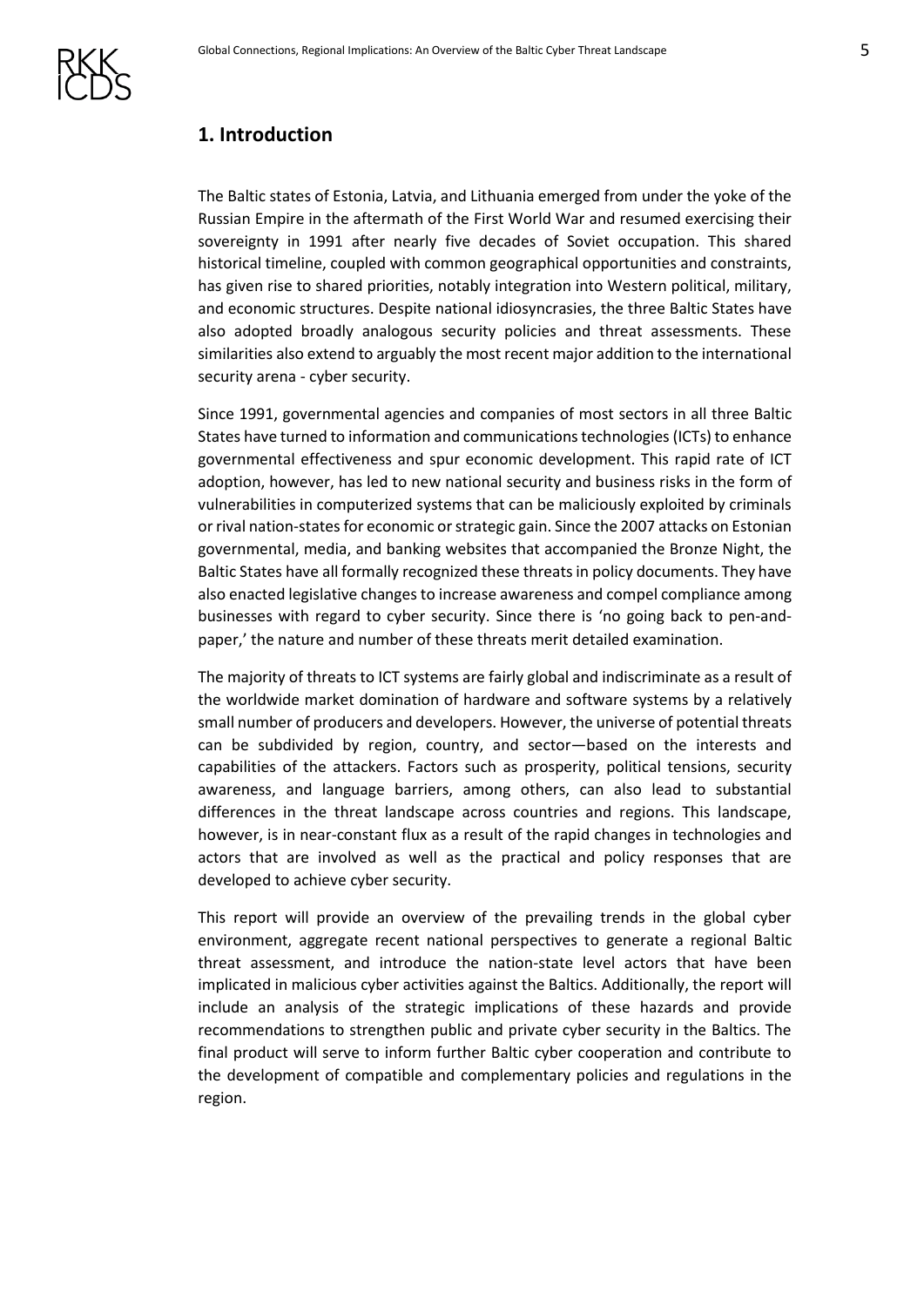## <span id="page-4-0"></span>**1. Introduction**

The Baltic states of Estonia, Latvia, and Lithuania emerged from under the yoke of the Russian Empire in the aftermath of the First World War and resumed exercising their sovereignty in 1991 after nearly five decades of Soviet occupation. This shared historical timeline, coupled with common geographical opportunities and constraints, has given rise to shared priorities, notably integration into Western political, military, and economic structures. Despite national idiosyncrasies, the three Baltic States have also adopted broadly analogous security policies and threat assessments. These similarities also extend to arguably the most recent major addition to the international security arena - cyber security.

Since 1991, governmental agencies and companies of most sectors in all three Baltic States have turned to information and communications technologies (ICTs) to enhance governmental effectiveness and spur economic development. This rapid rate of ICT adoption, however, has led to new national security and business risks in the form of vulnerabilities in computerized systems that can be maliciously exploited by criminals or rival nation-states for economic or strategic gain. Since the 2007 attacks on Estonian governmental, media, and banking websites that accompanied the Bronze Night, the Baltic States have all formally recognized these threats in policy documents. They have also enacted legislative changes to increase awareness and compel compliance among businesses with regard to cyber security. Since there is 'no going back to pen-andpaper,' the nature and number of these threats merit detailed examination.

The majority of threats to ICT systems are fairly global and indiscriminate as a result of the worldwide market domination of hardware and software systems by a relatively small number of producers and developers. However, the universe of potential threats can be subdivided by region, country, and sector—based on the interests and capabilities of the attackers. Factors such as prosperity, political tensions, security awareness, and language barriers, among others, can also lead to substantial differences in the threat landscape across countries and regions. This landscape, however, is in near-constant flux as a result of the rapid changes in technologies and actors that are involved as well as the practical and policy responses that are developed to achieve cyber security.

This report will provide an overview of the prevailing trends in the global cyber environment, aggregate recent national perspectives to generate a regional Baltic threat assessment, and introduce the nation-state level actors that have been implicated in malicious cyber activities against the Baltics. Additionally, the report will include an analysis of the strategic implications of these hazards and provide recommendations to strengthen public and private cyber security in the Baltics. The final product will serve to inform further Baltic cyber cooperation and contribute to the development of compatible and complementary policies and regulations in the region.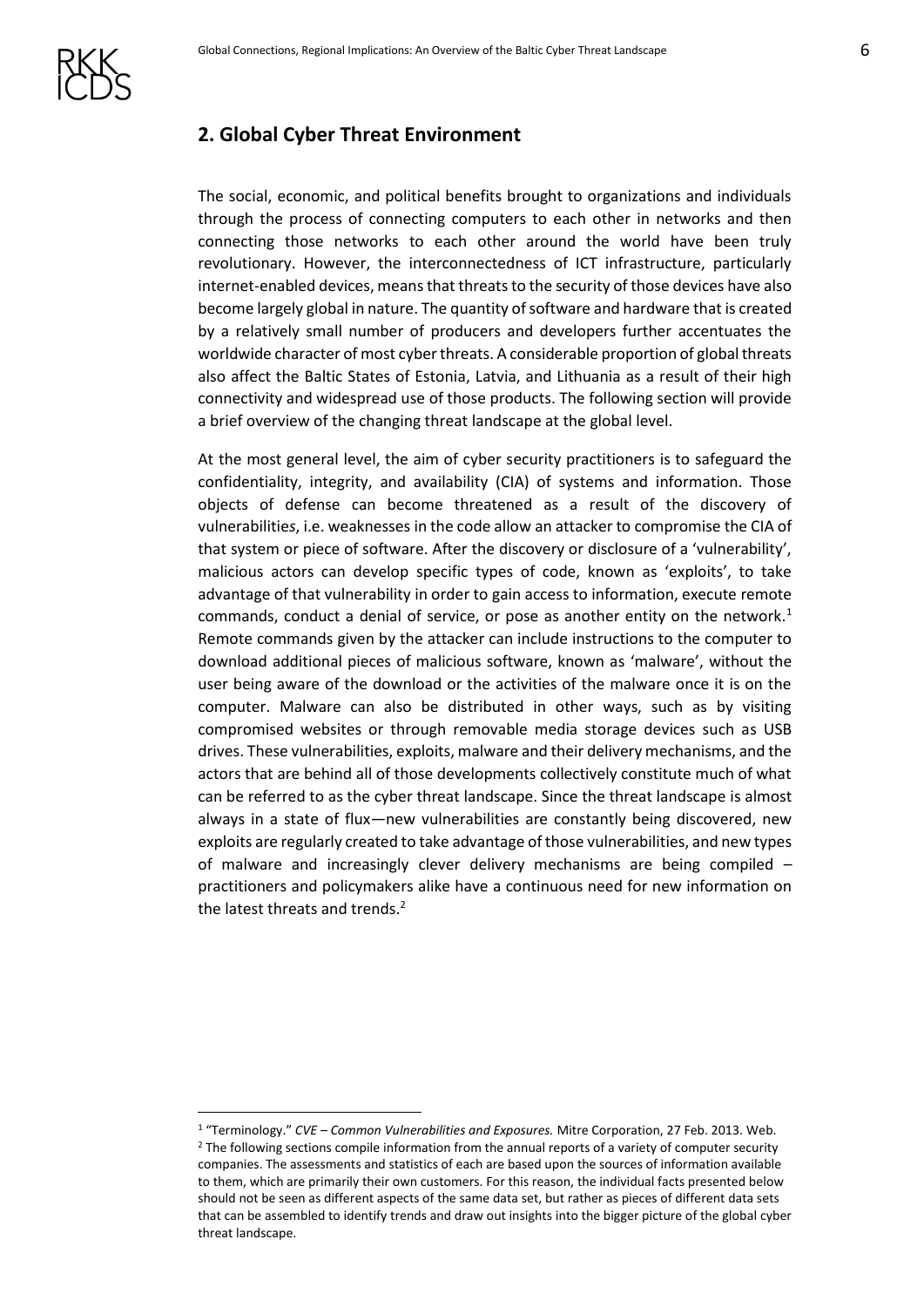# <span id="page-5-0"></span>**2. Global Cyber Threat Environment**

The social, economic, and political benefits brought to organizations and individuals through the process of connecting computers to each other in networks and then connecting those networks to each other around the world have been truly revolutionary. However, the interconnectedness of ICT infrastructure, particularly internet-enabled devices, means that threats to the security of those devices have also become largely global in nature. The quantity of software and hardware that is created by a relatively small number of producers and developers further accentuates the worldwide character of most cyber threats. A considerable proportion of global threats also affect the Baltic States of Estonia, Latvia, and Lithuania as a result of their high connectivity and widespread use of those products. The following section will provide a brief overview of the changing threat landscape at the global level.

At the most general level, the aim of cyber security practitioners is to safeguard the confidentiality, integrity, and availability (CIA) of systems and information. Those objects of defense can become threatened as a result of the discovery of vulnerabilitie*s*, i.e. weaknesses in the code allow an attacker to compromise the CIA of that system or piece of software. After the discovery or disclosure of a 'vulnerability', malicious actors can develop specific types of code, known as 'exploits', to take advantage of that vulnerability in order to gain access to information, execute remote commands, conduct a denial of service, or pose as another entity on the network.<sup>1</sup> Remote commands given by the attacker can include instructions to the computer to download additional pieces of malicious software, known as 'malware', without the user being aware of the download or the activities of the malware once it is on the computer. Malware can also be distributed in other ways, such as by visiting compromised websites or through removable media storage devices such as USB drives. These vulnerabilities, exploits, malware and their delivery mechanisms, and the actors that are behind all of those developments collectively constitute much of what can be referred to as the cyber threat landscape. Since the threat landscape is almost always in a state of flux—new vulnerabilities are constantly being discovered, new exploits are regularly created to take advantage of those vulnerabilities, and new types of malware and increasingly clever delivery mechanisms are being compiled – practitioners and policymakers alike have a continuous need for new information on the latest threats and trends.<sup>2</sup>

<sup>1</sup> "Terminology." *CVE – Common Vulnerabilities and Exposures.* Mitre Corporation, 27 Feb. 2013. Web. <sup>2</sup> The following sections compile information from the annual reports of a variety of computer security companies. The assessments and statistics of each are based upon the sources of information available to them, which are primarily their own customers. For this reason, the individual facts presented below should not be seen as different aspects of the same data set, but rather as pieces of different data sets that can be assembled to identify trends and draw out insights into the bigger picture of the global cyber threat landscape.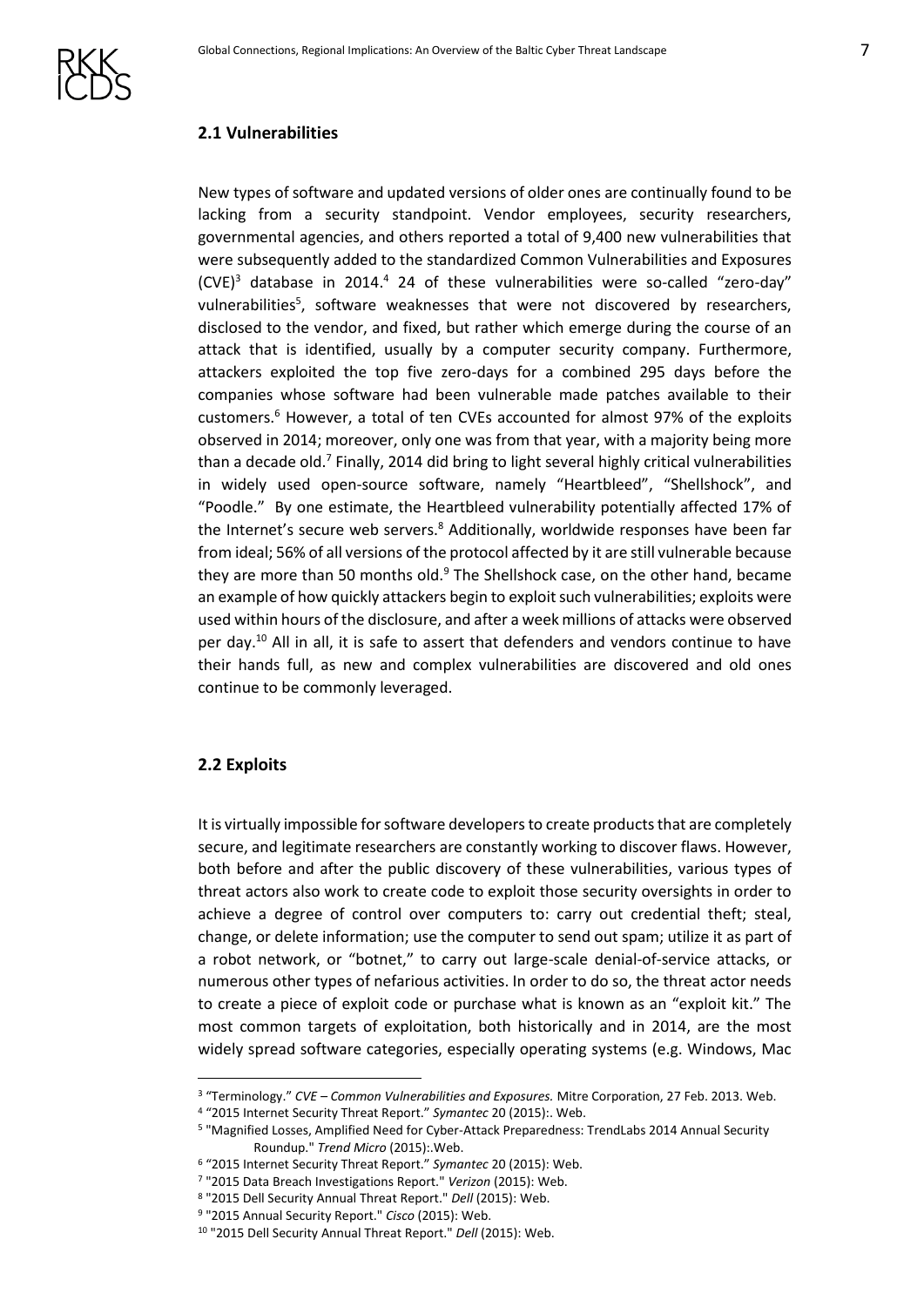

#### <span id="page-6-0"></span>**2.1 Vulnerabilities**

New types of software and updated versions of older ones are continually found to be lacking from a security standpoint. Vendor employees, security researchers, governmental agencies, and others reported a total of 9,400 new vulnerabilities that were subsequently added to the standardized Common Vulnerabilities and Exposures  $(CVE)^3$  database in 2014.<sup>4</sup> 24 of these vulnerabilities were so-called "zero-day" vulnerabilities<sup>5</sup>, software weaknesses that were not discovered by researchers, disclosed to the vendor, and fixed, but rather which emerge during the course of an attack that is identified, usually by a computer security company. Furthermore, attackers exploited the top five zero-days for a combined 295 days before the companies whose software had been vulnerable made patches available to their customers.<sup>6</sup> However, a total of ten CVEs accounted for almost 97% of the exploits observed in 2014; moreover, only one was from that year, with a majority being more than a decade old.<sup>7</sup> Finally, 2014 did bring to light several highly critical vulnerabilities in widely used open-source software, namely "Heartbleed", "Shellshock", and "Poodle." By one estimate, the Heartbleed vulnerability potentially affected 17% of the Internet's secure web servers.<sup>8</sup> Additionally, worldwide responses have been far from ideal; 56% of all versions of the protocol affected by it are still vulnerable because they are more than 50 months old. $9$  The Shellshock case, on the other hand, became an example of how quickly attackers begin to exploit such vulnerabilities; exploits were used within hours of the disclosure, and after a week millions of attacks were observed per day.<sup>10</sup> All in all, it is safe to assert that defenders and vendors continue to have their hands full, as new and complex vulnerabilities are discovered and old ones continue to be commonly leveraged.

#### <span id="page-6-1"></span>**2.2 Exploits**

<u>.</u>

It is virtually impossible for software developers to create products that are completely secure, and legitimate researchers are constantly working to discover flaws. However, both before and after the public discovery of these vulnerabilities, various types of threat actors also work to create code to exploit those security oversights in order to achieve a degree of control over computers to: carry out credential theft; steal, change, or delete information; use the computer to send out spam; utilize it as part of a robot network, or "botnet," to carry out large-scale denial-of-service attacks, or numerous other types of nefarious activities. In order to do so, the threat actor needs to create a piece of exploit code or purchase what is known as an "exploit kit." The most common targets of exploitation, both historically and in 2014, are the most widely spread software categories, especially operating systems (e.g. Windows, Mac

<sup>3</sup> "Terminology." *CVE – Common Vulnerabilities and Exposures.* Mitre Corporation, 27 Feb. 2013. Web.

<sup>4</sup> "2015 Internet Security Threat Report." *Symantec* 20 (2015):. Web.

<sup>5</sup> "Magnified Losses, Amplified Need for Cyber-Attack Preparedness: TrendLabs 2014 Annual Security Roundup." *Trend Micro* (2015):.Web.

<sup>6</sup> "2015 Internet Security Threat Report." *Symantec* 20 (2015): Web.

<sup>7</sup> "2015 Data Breach Investigations Report." *Verizon* (2015): Web.

<sup>8</sup> "2015 Dell Security Annual Threat Report." *Dell* (2015): Web.

<sup>9</sup> "2015 Annual Security Report." *Cisco* (2015): Web.

<sup>10</sup> "2015 Dell Security Annual Threat Report." *Dell* (2015): Web.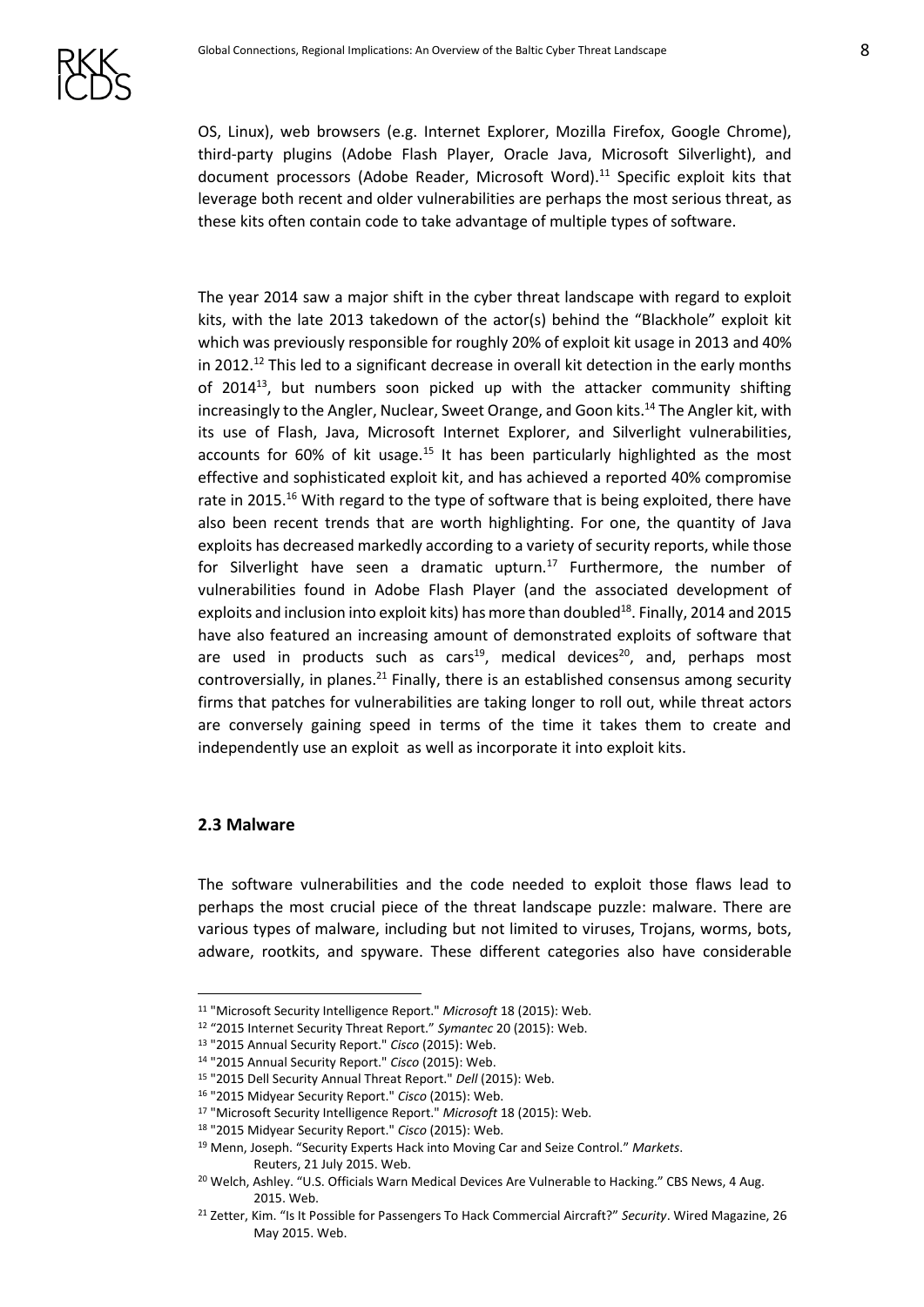OS, Linux), web browsers (e.g. Internet Explorer, Mozilla Firefox, Google Chrome), third-party plugins (Adobe Flash Player, Oracle Java, Microsoft Silverlight), and document processors (Adobe Reader, Microsoft Word).<sup>11</sup> Specific exploit kits that leverage both recent and older vulnerabilities are perhaps the most serious threat, as these kits often contain code to take advantage of multiple types of software.

The year 2014 saw a major shift in the cyber threat landscape with regard to exploit kits, with the late 2013 takedown of the actor(s) behind the "Blackhole" exploit kit which was previously responsible for roughly 20% of exploit kit usage in 2013 and 40% in 2012.<sup>12</sup> This led to a significant decrease in overall kit detection in the early months of 2014<sup>13</sup>, but numbers soon picked up with the attacker community shifting increasingly to the Angler, Nuclear, Sweet Orange, and Goon kits.<sup>14</sup> The Angler kit, with its use of Flash, Java, Microsoft Internet Explorer, and Silverlight vulnerabilities, accounts for 60% of kit usage.<sup>15</sup> It has been particularly highlighted as the most effective and sophisticated exploit kit, and has achieved a reported 40% compromise rate in 2015.<sup>16</sup> With regard to the type of software that is being exploited, there have also been recent trends that are worth highlighting. For one, the quantity of Java exploits has decreased markedly according to a variety of security reports, while those for Silverlight have seen a dramatic upturn.<sup>17</sup> Furthermore, the number of vulnerabilities found in Adobe Flash Player (and the associated development of exploits and inclusion into exploit kits) has more than doubled<sup>18</sup>. Finally, 2014 and 2015 have also featured an increasing amount of demonstrated exploits of software that are used in products such as cars<sup>19</sup>, medical devices<sup>20</sup>, and, perhaps most controversially, in planes. $^{21}$  Finally, there is an established consensus among security firms that patches for vulnerabilities are taking longer to roll out, while threat actors are conversely gaining speed in terms of the time it takes them to create and independently use an exploit as well as incorporate it into exploit kits.

#### <span id="page-7-0"></span>**2.3 Malware**

1

The software vulnerabilities and the code needed to exploit those flaws lead to perhaps the most crucial piece of the threat landscape puzzle: malware. There are various types of malware, including but not limited to viruses, Trojans, worms, bots, adware, rootkits, and spyware. These different categories also have considerable

<sup>11</sup> "Microsoft Security Intelligence Report." *Microsoft* 18 (2015): Web.

<sup>12</sup> "2015 Internet Security Threat Report." *Symantec* 20 (2015): Web.

<sup>13</sup> "2015 Annual Security Report." *Cisco* (2015): Web.

<sup>14</sup> "2015 Annual Security Report." *Cisco* (2015): Web.

<sup>15</sup> "2015 Dell Security Annual Threat Report." *Dell* (2015): Web.

<sup>16</sup> "2015 Midyear Security Report." *Cisco* (2015): Web.

<sup>17</sup> "Microsoft Security Intelligence Report." *Microsoft* 18 (2015): Web.

<sup>18</sup> "2015 Midyear Security Report." *Cisco* (2015): Web.

<sup>19</sup> Menn, Joseph. "Security Experts Hack into Moving Car and Seize Control." *Markets*. Reuters, 21 July 2015. Web.

<sup>&</sup>lt;sup>20</sup> Welch, Ashley. "U.S. Officials Warn Medical Devices Are Vulnerable to Hacking." CBS News, 4 Aug. 2015. Web.

<sup>21</sup> Zetter, Kim. "Is It Possible for Passengers To Hack Commercial Aircraft?" *Security*. Wired Magazine, 26 May 2015. Web.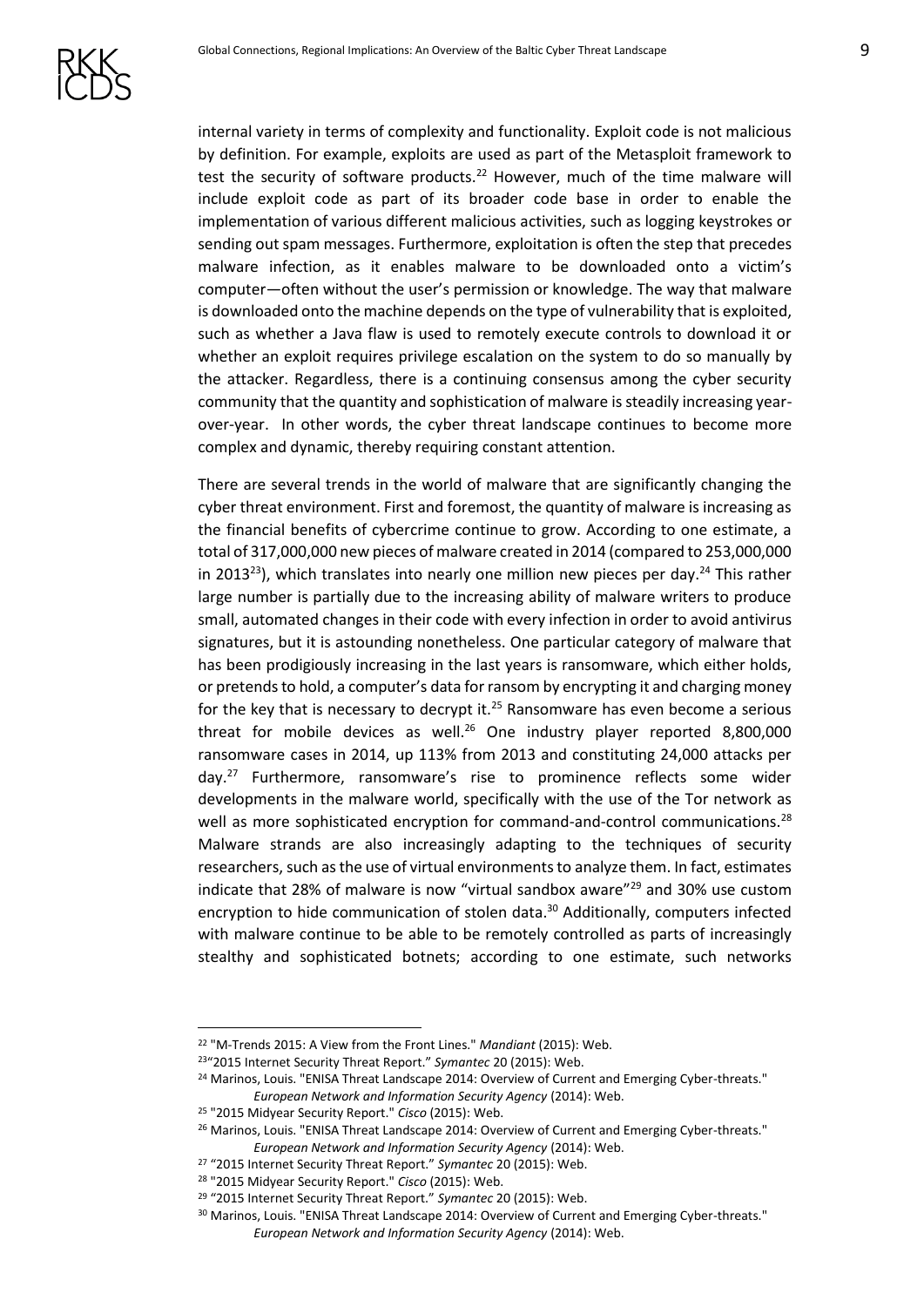

internal variety in terms of complexity and functionality. Exploit code is not malicious by definition. For example, exploits are used as part of the Metasploit framework to test the security of software products.<sup>22</sup> However, much of the time malware will include exploit code as part of its broader code base in order to enable the implementation of various different malicious activities, such as logging keystrokes or sending out spam messages. Furthermore, exploitation is often the step that precedes malware infection, as it enables malware to be downloaded onto a victim's computer—often without the user's permission or knowledge. The way that malware is downloaded onto the machine depends on the type of vulnerability that is exploited, such as whether a Java flaw is used to remotely execute controls to download it or whether an exploit requires privilege escalation on the system to do so manually by the attacker. Regardless, there is a continuing consensus among the cyber security community that the quantity and sophistication of malware is steadily increasing yearover-year. In other words, the cyber threat landscape continues to become more complex and dynamic, thereby requiring constant attention.

There are several trends in the world of malware that are significantly changing the cyber threat environment. First and foremost, the quantity of malware is increasing as the financial benefits of cybercrime continue to grow. According to one estimate, a total of 317,000,000 new pieces of malware created in 2014 (compared to 253,000,000 in 2013<sup>23</sup>), which translates into nearly one million new pieces per day.<sup>24</sup> This rather large number is partially due to the increasing ability of malware writers to produce small, automated changes in their code with every infection in order to avoid antivirus signatures, but it is astounding nonetheless. One particular category of malware that has been prodigiously increasing in the last years is ransomware, which either holds, or pretends to hold, a computer's data for ransom by encrypting it and charging money for the key that is necessary to decrypt it.<sup>25</sup> Ransomware has even become a serious threat for mobile devices as well.<sup>26</sup> One industry player reported  $8,800,000$ ransomware cases in 2014, up 113% from 2013 and constituting 24,000 attacks per day.<sup>27</sup> Furthermore, ransomware's rise to prominence reflects some wider developments in the malware world, specifically with the use of the Tor network as well as more sophisticated encryption for command-and-control communications.<sup>28</sup> Malware strands are also increasingly adapting to the techniques of security researchers, such as the use of virtual environments to analyze them. In fact, estimates indicate that 28% of malware is now "virtual sandbox aware"<sup>29</sup> and 30% use custom encryption to hide communication of stolen data.<sup>30</sup> Additionally, computers infected with malware continue to be able to be remotely controlled as parts of increasingly stealthy and sophisticated botnets; according to one estimate, such networks

<sup>22</sup> "M-Trends 2015: A View from the Front Lines." *Mandiant* (2015): Web.

<sup>23</sup>"2015 Internet Security Threat Report." *Symantec* 20 (2015): Web.

<sup>&</sup>lt;sup>24</sup> Marinos, Louis. "ENISA Threat Landscape 2014: Overview of Current and Emerging Cyber-threats." *European Network and Information Security Agency* (2014): Web.

<sup>25</sup> "2015 Midyear Security Report." *Cisco* (2015): Web.

<sup>&</sup>lt;sup>26</sup> Marinos, Louis. "ENISA Threat Landscape 2014: Overview of Current and Emerging Cyber-threats." *European Network and Information Security Agency* (2014): Web.

<sup>27</sup> "2015 Internet Security Threat Report." *Symantec* 20 (2015): Web.

<sup>28</sup> "2015 Midyear Security Report." *Cisco* (2015): Web.

<sup>29</sup> "2015 Internet Security Threat Report." *Symantec* 20 (2015): Web.

<sup>&</sup>lt;sup>30</sup> Marinos, Louis. "ENISA Threat Landscape 2014: Overview of Current and Emerging Cyber-threats." *European Network and Information Security Agency* (2014): Web.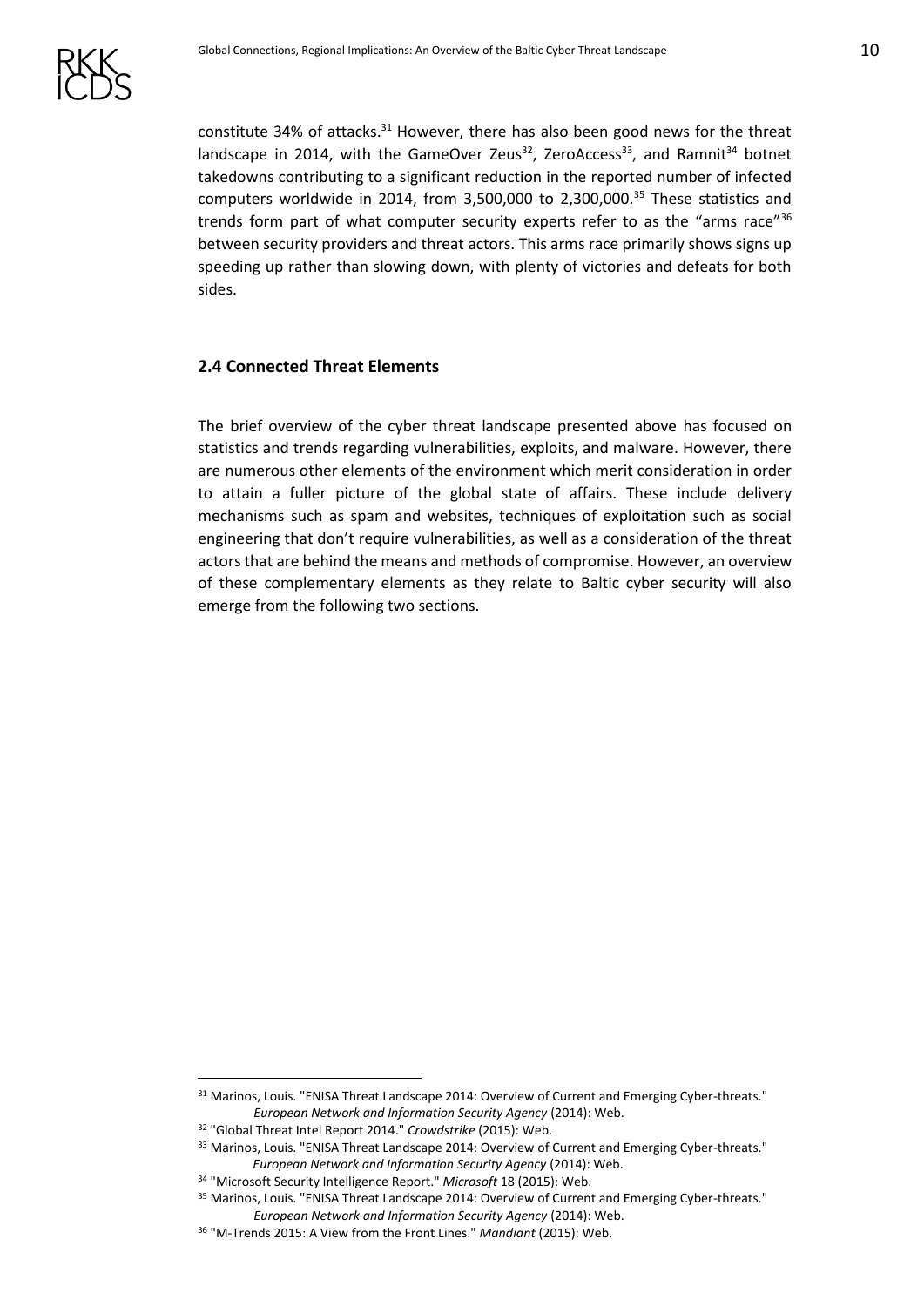constitute 34% of attacks.<sup>31</sup> However, there has also been good news for the threat landscape in 2014, with the GameOver Zeus<sup>32</sup>, ZeroAccess<sup>33</sup>, and Ramnit<sup>34</sup> botnet takedowns contributing to a significant reduction in the reported number of infected computers worldwide in 2014, from 3,500,000 to 2,300,000.<sup>35</sup> These statistics and trends form part of what computer security experts refer to as the "arms race"36 between security providers and threat actors. This arms race primarily shows signs up speeding up rather than slowing down, with plenty of victories and defeats for both sides.

#### <span id="page-9-0"></span>**2.4 Connected Threat Elements**

The brief overview of the cyber threat landscape presented above has focused on statistics and trends regarding vulnerabilities, exploits, and malware. However, there are numerous other elements of the environment which merit consideration in order to attain a fuller picture of the global state of affairs. These include delivery mechanisms such as spam and websites, techniques of exploitation such as social engineering that don't require vulnerabilities, as well as a consideration of the threat actors that are behind the means and methods of compromise. However, an overview of these complementary elements as they relate to Baltic cyber security will also emerge from the following two sections.

<u>.</u>

<sup>31</sup> Marinos, Louis. "ENISA Threat Landscape 2014: Overview of Current and Emerging Cyber-threats." *European Network and Information Security Agency* (2014): Web.

<sup>32</sup> "Global Threat Intel Report 2014." *Crowdstrike* (2015): Web.

<sup>33</sup> Marinos, Louis. "ENISA Threat Landscape 2014: Overview of Current and Emerging Cyber-threats." *European Network and Information Security Agency* (2014): Web.

<sup>34</sup> "Microsoft Security Intelligence Report." *Microsoft* 18 (2015): Web.

<sup>&</sup>lt;sup>35</sup> Marinos, Louis. "ENISA Threat Landscape 2014: Overview of Current and Emerging Cyber-threats." *European Network and Information Security Agency* (2014): Web.

<sup>36</sup> "M-Trends 2015: A View from the Front Lines." *Mandiant* (2015): Web.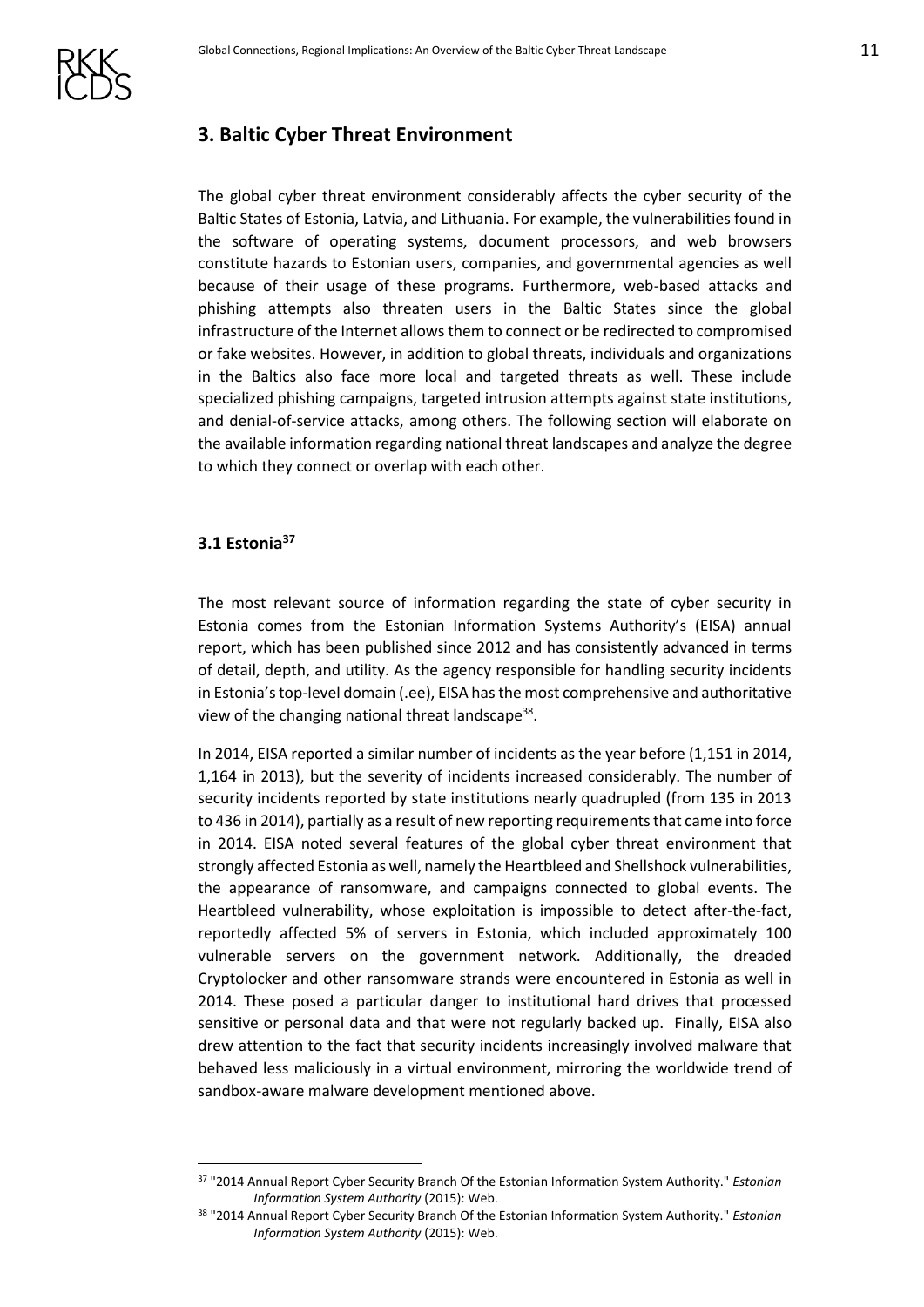

# <span id="page-10-0"></span>**3. Baltic Cyber Threat Environment**

The global cyber threat environment considerably affects the cyber security of the Baltic States of Estonia, Latvia, and Lithuania. For example, the vulnerabilities found in the software of operating systems, document processors, and web browsers constitute hazards to Estonian users, companies, and governmental agencies as well because of their usage of these programs. Furthermore, web-based attacks and phishing attempts also threaten users in the Baltic States since the global infrastructure of the Internet allows them to connect or be redirected to compromised or fake websites. However, in addition to global threats, individuals and organizations in the Baltics also face more local and targeted threats as well. These include specialized phishing campaigns, targeted intrusion attempts against state institutions, and denial-of-service attacks, among others. The following section will elaborate on the available information regarding national threat landscapes and analyze the degree to which they connect or overlap with each other.

## <span id="page-10-1"></span>**3.1 Estonia<sup>37</sup>**

1

The most relevant source of information regarding the state of cyber security in Estonia comes from the Estonian Information Systems Authority's (EISA) annual report, which has been published since 2012 and has consistently advanced in terms of detail, depth, and utility. As the agency responsible for handling security incidents in Estonia's top-level domain (.ee), EISA has the most comprehensive and authoritative view of the changing national threat landscape<sup>38</sup>.

In 2014, EISA reported a similar number of incidents as the year before (1,151 in 2014, 1,164 in 2013), but the severity of incidents increased considerably. The number of security incidents reported by state institutions nearly quadrupled (from 135 in 2013 to 436 in 2014), partially as a result of new reporting requirements that came into force in 2014. EISA noted several features of the global cyber threat environment that strongly affected Estonia as well, namely the Heartbleed and Shellshock vulnerabilities, the appearance of ransomware, and campaigns connected to global events. The Heartbleed vulnerability, whose exploitation is impossible to detect after-the-fact, reportedly affected 5% of servers in Estonia, which included approximately 100 vulnerable servers on the government network. Additionally, the dreaded Cryptolocker and other ransomware strands were encountered in Estonia as well in 2014. These posed a particular danger to institutional hard drives that processed sensitive or personal data and that were not regularly backed up. Finally, EISA also drew attention to the fact that security incidents increasingly involved malware that behaved less maliciously in a virtual environment, mirroring the worldwide trend of sandbox-aware malware development mentioned above.

<sup>37</sup> "2014 Annual Report Cyber Security Branch Of the Estonian Information System Authority." *Estonian Information System Authority* (2015): Web.

<sup>38</sup> "2014 Annual Report Cyber Security Branch Of the Estonian Information System Authority." *Estonian Information System Authority* (2015): Web.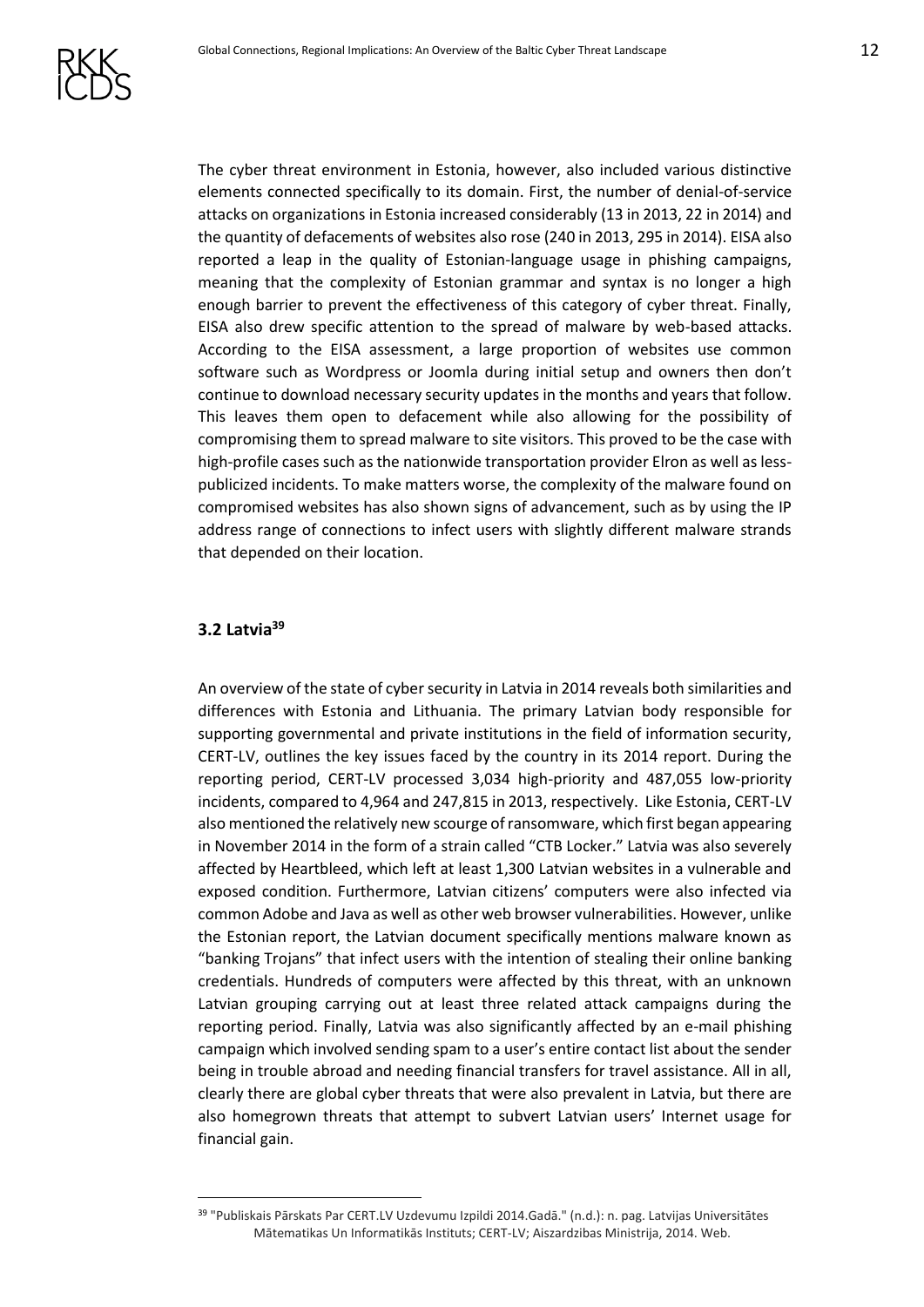The cyber threat environment in Estonia, however, also included various distinctive elements connected specifically to its domain. First, the number of denial-of-service attacks on organizations in Estonia increased considerably (13 in 2013, 22 in 2014) and the quantity of defacements of websites also rose (240 in 2013, 295 in 2014). EISA also reported a leap in the quality of Estonian-language usage in phishing campaigns, meaning that the complexity of Estonian grammar and syntax is no longer a high enough barrier to prevent the effectiveness of this category of cyber threat. Finally, EISA also drew specific attention to the spread of malware by web-based attacks. According to the EISA assessment, a large proportion of websites use common software such as Wordpress or Joomla during initial setup and owners then don't continue to download necessary security updates in the months and years that follow. This leaves them open to defacement while also allowing for the possibility of compromising them to spread malware to site visitors. This proved to be the case with high-profile cases such as the nationwide transportation provider Elron as well as lesspublicized incidents. To make matters worse, the complexity of the malware found on compromised websites has also shown signs of advancement, such as by using the IP address range of connections to infect users with slightly different malware strands that depended on their location.

#### <span id="page-11-0"></span>**3.2 Latvia<sup>39</sup>**

1

An overview of the state of cyber security in Latvia in 2014 reveals both similarities and differences with Estonia and Lithuania. The primary Latvian body responsible for supporting governmental and private institutions in the field of information security, CERT-LV, outlines the key issues faced by the country in its 2014 report. During the reporting period, CERT-LV processed 3,034 high-priority and 487,055 low-priority incidents, compared to 4,964 and 247,815 in 2013, respectively. Like Estonia, CERT-LV also mentioned the relatively new scourge of ransomware, which first began appearing in November 2014 in the form of a strain called "CTB Locker." Latvia was also severely affected by Heartbleed, which left at least 1,300 Latvian websites in a vulnerable and exposed condition. Furthermore, Latvian citizens' computers were also infected via common Adobe and Java as well as other web browser vulnerabilities. However, unlike the Estonian report, the Latvian document specifically mentions malware known as "banking Trojans" that infect users with the intention of stealing their online banking credentials. Hundreds of computers were affected by this threat, with an unknown Latvian grouping carrying out at least three related attack campaigns during the reporting period. Finally, Latvia was also significantly affected by an e-mail phishing campaign which involved sending spam to a user's entire contact list about the sender being in trouble abroad and needing financial transfers for travel assistance. All in all, clearly there are global cyber threats that were also prevalent in Latvia, but there are also homegrown threats that attempt to subvert Latvian users' Internet usage for financial gain.

<sup>39</sup> "Publiskais Pārskats Par CERT.LV Uzdevumu Izpildi 2014.Gadā." (n.d.): n. pag. Latvijas Universitātes Mātematikas Un Informatikās Instituts; CERT-LV; Aiszardzibas Ministrija, 2014. Web.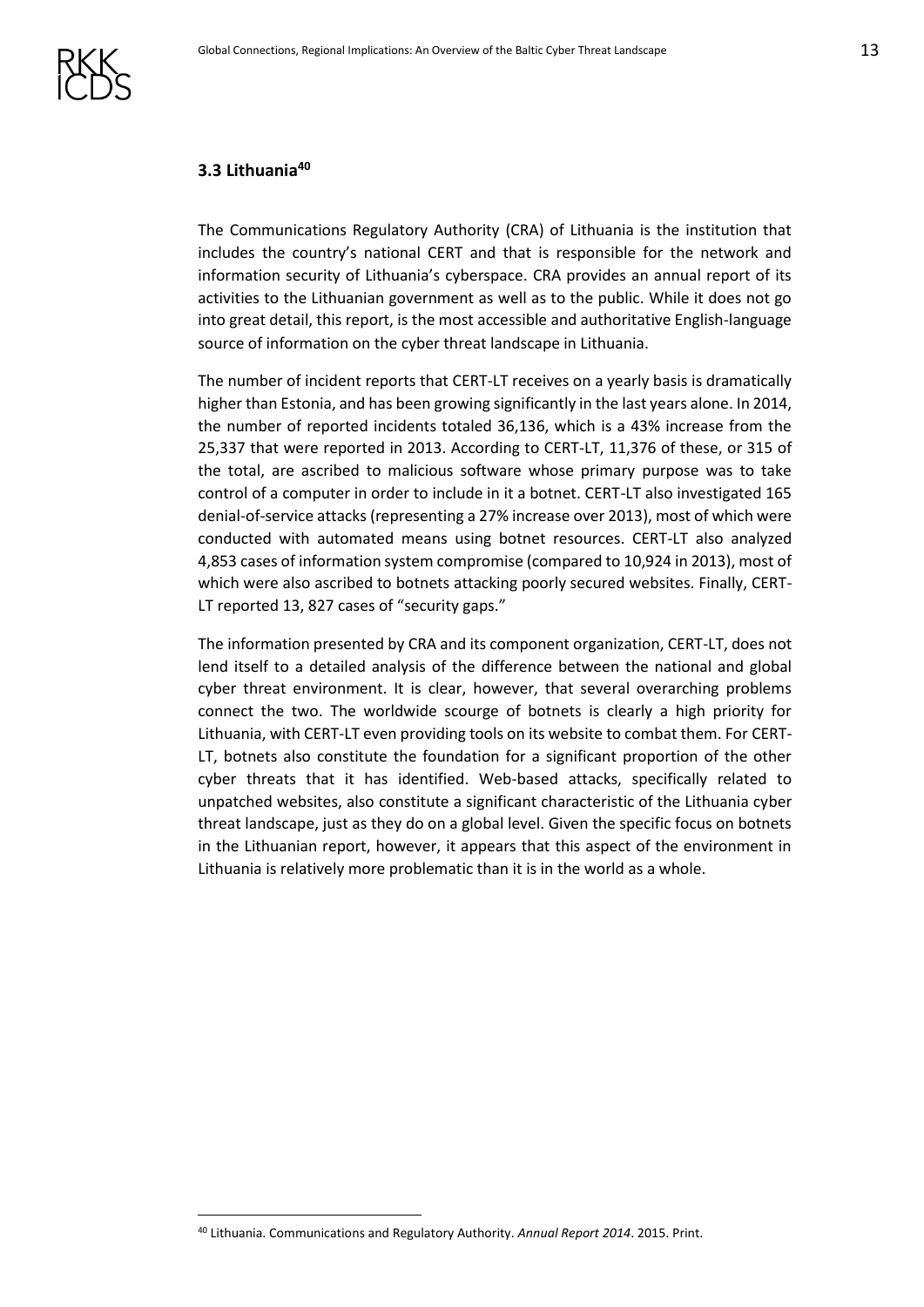#### <span id="page-12-0"></span>**3.3 Lithuania<sup>40</sup>**

The Communications Regulatory Authority (CRA) of Lithuania is the institution that includes the country's national CERT and that is responsible for the network and information security of Lithuania's cyberspace. CRA provides an annual report of its activities to the Lithuanian government as well as to the public. While it does not go into great detail, this report, is the most accessible and authoritative English-language source of information on the cyber threat landscape in Lithuania.

The number of incident reports that CERT-LT receives on a yearly basis is dramatically higher than Estonia, and has been growing significantly in the last years alone. In 2014, the number of reported incidents totaled 36,136, which is a 43% increase from the 25,337 that were reported in 2013. According to CERT-LT, 11,376 of these, or 315 of the total, are ascribed to malicious software whose primary purpose was to take control of a computer in order to include in it a botnet. CERT-LT also investigated 165 denial-of-service attacks (representing a 27% increase over 2013), most of which were conducted with automated means using botnet resources. CERT-LT also analyzed 4,853 cases of information system compromise (compared to 10,924 in 2013), most of which were also ascribed to botnets attacking poorly secured websites. Finally, CERT-LT reported 13, 827 cases of "security gaps."

The information presented by CRA and its component organization, CERT-LT, does not lend itself to a detailed analysis of the difference between the national and global cyber threat environment. It is clear, however, that several overarching problems connect the two. The worldwide scourge of botnets is clearly a high priority for Lithuania, with CERT-LT even providing tools on its website to combat them. For CERT-LT, botnets also constitute the foundation for a significant proportion of the other cyber threats that it has identified. Web-based attacks, specifically related to unpatched websites, also constitute a significant characteristic of the Lithuania cyber threat landscape, just as they do on a global level. Given the specific focus on botnets in the Lithuanian report, however, it appears that this aspect of the environment in Lithuania is relatively more problematic than it is in the world as a whole.

<sup>40</sup> Lithuania. Communications and Regulatory Authority. *Annual Report 2014*. 2015. Print.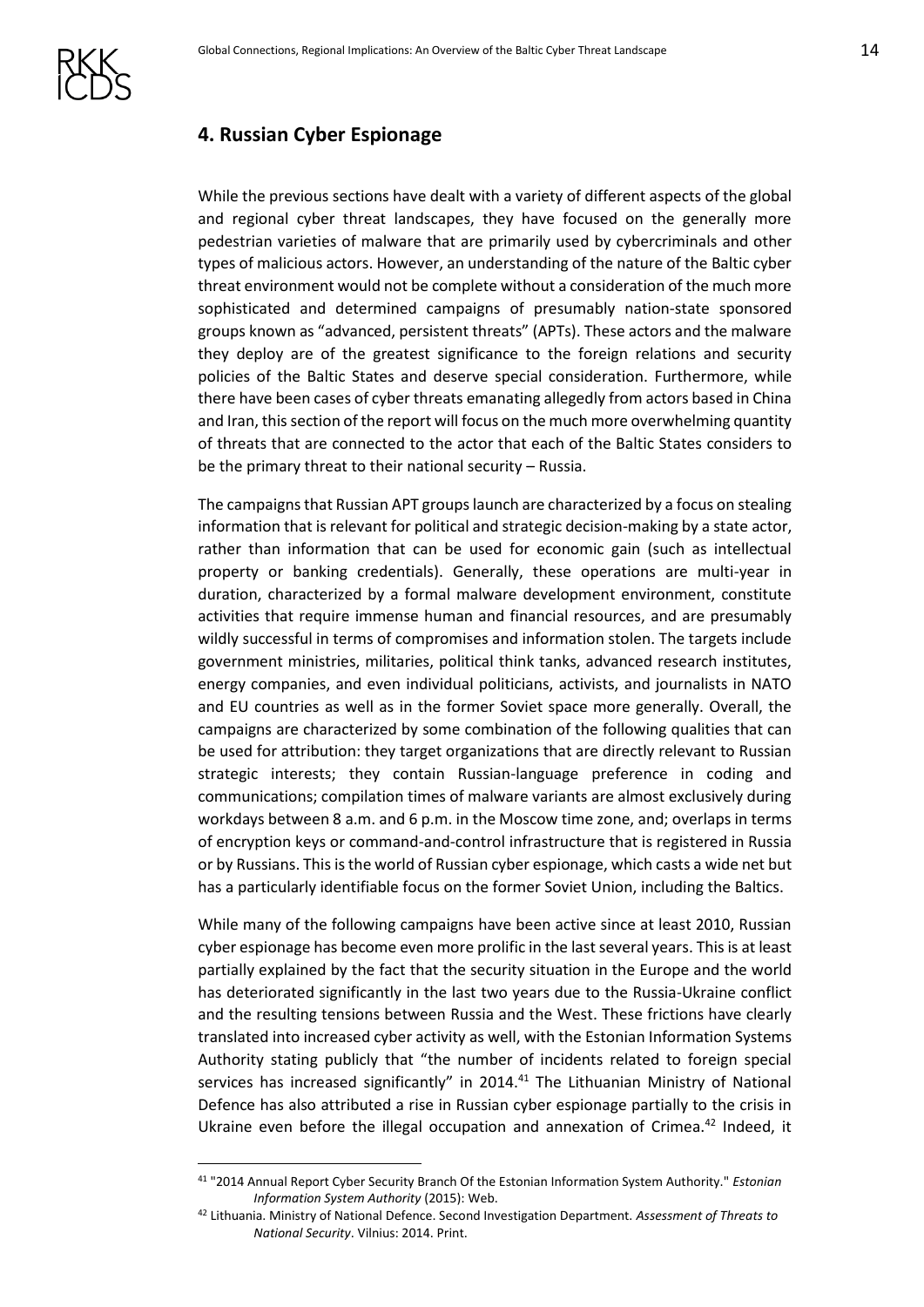

## <span id="page-13-0"></span>**4. Russian Cyber Espionage**

While the previous sections have dealt with a variety of different aspects of the global and regional cyber threat landscapes, they have focused on the generally more pedestrian varieties of malware that are primarily used by cybercriminals and other types of malicious actors. However, an understanding of the nature of the Baltic cyber threat environment would not be complete without a consideration of the much more sophisticated and determined campaigns of presumably nation-state sponsored groups known as "advanced, persistent threats" (APTs). These actors and the malware they deploy are of the greatest significance to the foreign relations and security policies of the Baltic States and deserve special consideration. Furthermore, while there have been cases of cyber threats emanating allegedly from actors based in China and Iran, this section of the report will focus on the much more overwhelming quantity of threats that are connected to the actor that each of the Baltic States considers to be the primary threat to their national security – Russia.

The campaigns that Russian APT groups launch are characterized by a focus on stealing information that is relevant for political and strategic decision-making by a state actor, rather than information that can be used for economic gain (such as intellectual property or banking credentials). Generally, these operations are multi-year in duration, characterized by a formal malware development environment, constitute activities that require immense human and financial resources, and are presumably wildly successful in terms of compromises and information stolen. The targets include government ministries, militaries, political think tanks, advanced research institutes, energy companies, and even individual politicians, activists, and journalists in NATO and EU countries as well as in the former Soviet space more generally. Overall, the campaigns are characterized by some combination of the following qualities that can be used for attribution: they target organizations that are directly relevant to Russian strategic interests; they contain Russian-language preference in coding and communications; compilation times of malware variants are almost exclusively during workdays between 8 a.m. and 6 p.m. in the Moscow time zone, and; overlaps in terms of encryption keys or command-and-control infrastructure that is registered in Russia or by Russians. This is the world of Russian cyber espionage, which casts a wide net but has a particularly identifiable focus on the former Soviet Union, including the Baltics.

While many of the following campaigns have been active since at least 2010, Russian cyber espionage has become even more prolific in the last several years. This is at least partially explained by the fact that the security situation in the Europe and the world has deteriorated significantly in the last two years due to the Russia-Ukraine conflict and the resulting tensions between Russia and the West. These frictions have clearly translated into increased cyber activity as well, with the Estonian Information Systems Authority stating publicly that "the number of incidents related to foreign special services has increased significantly" in 2014.<sup>41</sup> The Lithuanian Ministry of National Defence has also attributed a rise in Russian cyber espionage partially to the crisis in Ukraine even before the illegal occupation and annexation of Crimea.<sup>42</sup> Indeed, it

<sup>41</sup> "2014 Annual Report Cyber Security Branch Of the Estonian Information System Authority." *Estonian Information System Authority* (2015): Web.

<sup>42</sup> Lithuania. Ministry of National Defence. Second Investigation Department. *Assessment of Threats to National Security*. Vilnius: 2014. Print.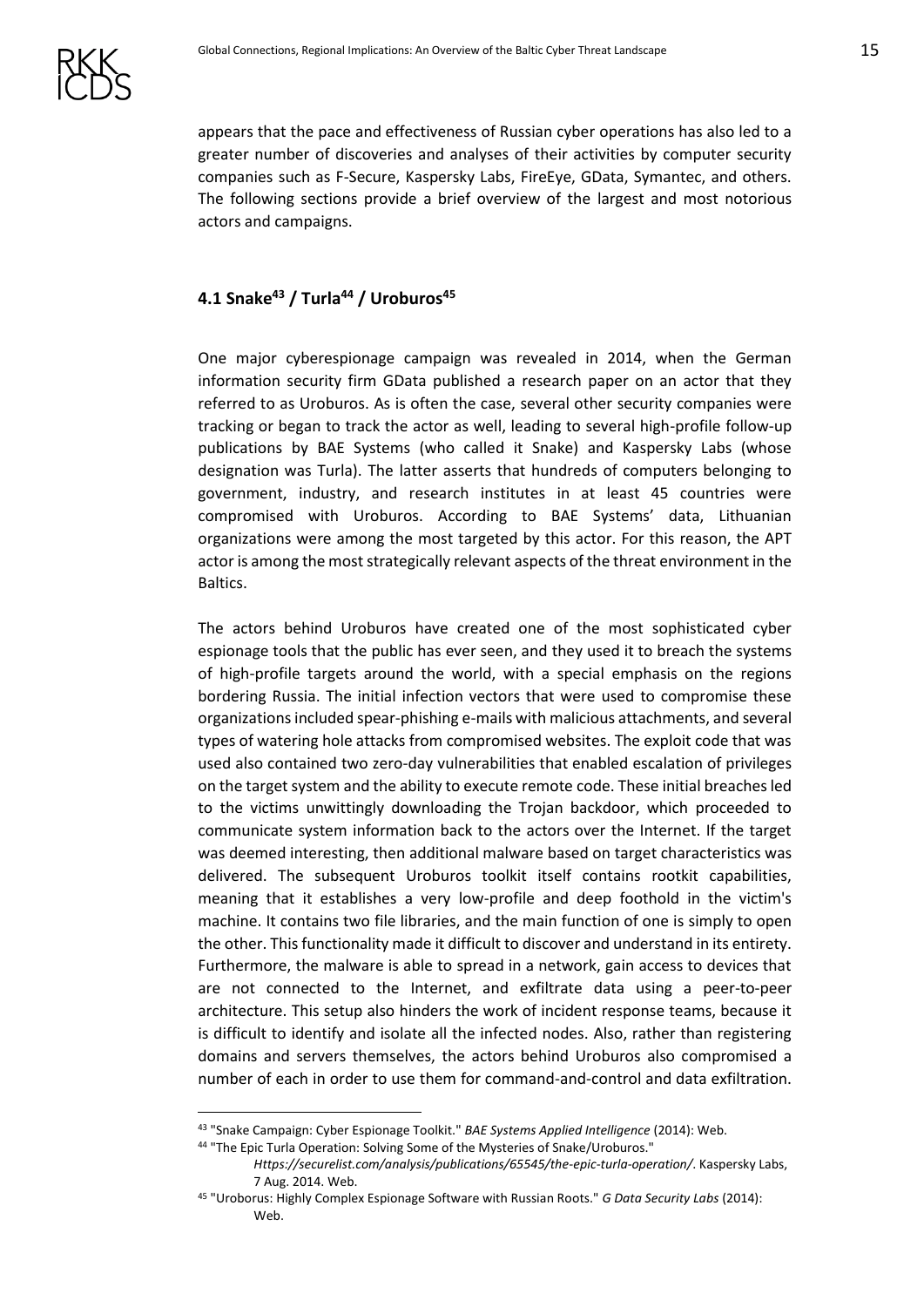

appears that the pace and effectiveness of Russian cyber operations has also led to a greater number of discoveries and analyses of their activities by computer security companies such as F-Secure, Kaspersky Labs, FireEye, GData, Symantec, and others. The following sections provide a brief overview of the largest and most notorious actors and campaigns.

## <span id="page-14-0"></span>**4.1 Snake<sup>43</sup> / Turla<sup>44</sup> / Uroburos<sup>45</sup>**

One major cyberespionage campaign was revealed in 2014, when the German information security firm GData published a research paper on an actor that they referred to as Uroburos. As is often the case, several other security companies were tracking or began to track the actor as well, leading to several high-profile follow-up publications by BAE Systems (who called it Snake) and Kaspersky Labs (whose designation was Turla). The latter asserts that hundreds of computers belonging to government, industry, and research institutes in at least 45 countries were compromised with Uroburos. According to BAE Systems' data, Lithuanian organizations were among the most targeted by this actor. For this reason, the APT actor is among the most strategically relevant aspects of the threat environment in the Baltics.

The actors behind Uroburos have created one of the most sophisticated cyber espionage tools that the public has ever seen, and they used it to breach the systems of high-profile targets around the world, with a special emphasis on the regions bordering Russia. The initial infection vectors that were used to compromise these organizations included spear-phishing e-mails with malicious attachments, and several types of watering hole attacks from compromised websites. The exploit code that was used also contained two zero-day vulnerabilities that enabled escalation of privileges on the target system and the ability to execute remote code. These initial breaches led to the victims unwittingly downloading the Trojan backdoor, which proceeded to communicate system information back to the actors over the Internet. If the target was deemed interesting, then additional malware based on target characteristics was delivered. The subsequent Uroburos toolkit itself contains rootkit capabilities, meaning that it establishes a very low-profile and deep foothold in the victim's machine. It contains two file libraries, and the main function of one is simply to open the other. This functionality made it difficult to discover and understand in its entirety. Furthermore, the malware is able to spread in a network, gain access to devices that are not connected to the Internet, and exfiltrate data using a peer-to-peer architecture. This setup also hinders the work of incident response teams, because it is difficult to identify and isolate all the infected nodes. Also, rather than registering domains and servers themselves, the actors behind Uroburos also compromised a number of each in order to use them for command-and-control and data exfiltration.

44 "The Epic Turla Operation: Solving Some of the Mysteries of Snake/Uroburos."

<sup>43</sup> "Snake Campaign: Cyber Espionage Toolkit." *BAE Systems Applied Intelligence* (2014): Web.

*Https://securelist.com/analysis/publications/65545/the-epic-turla-operation/*. Kaspersky Labs, 7 Aug. 2014. Web.

<sup>45</sup> "Uroborus: Highly Complex Espionage Software with Russian Roots." *G Data Security Labs* (2014): Web.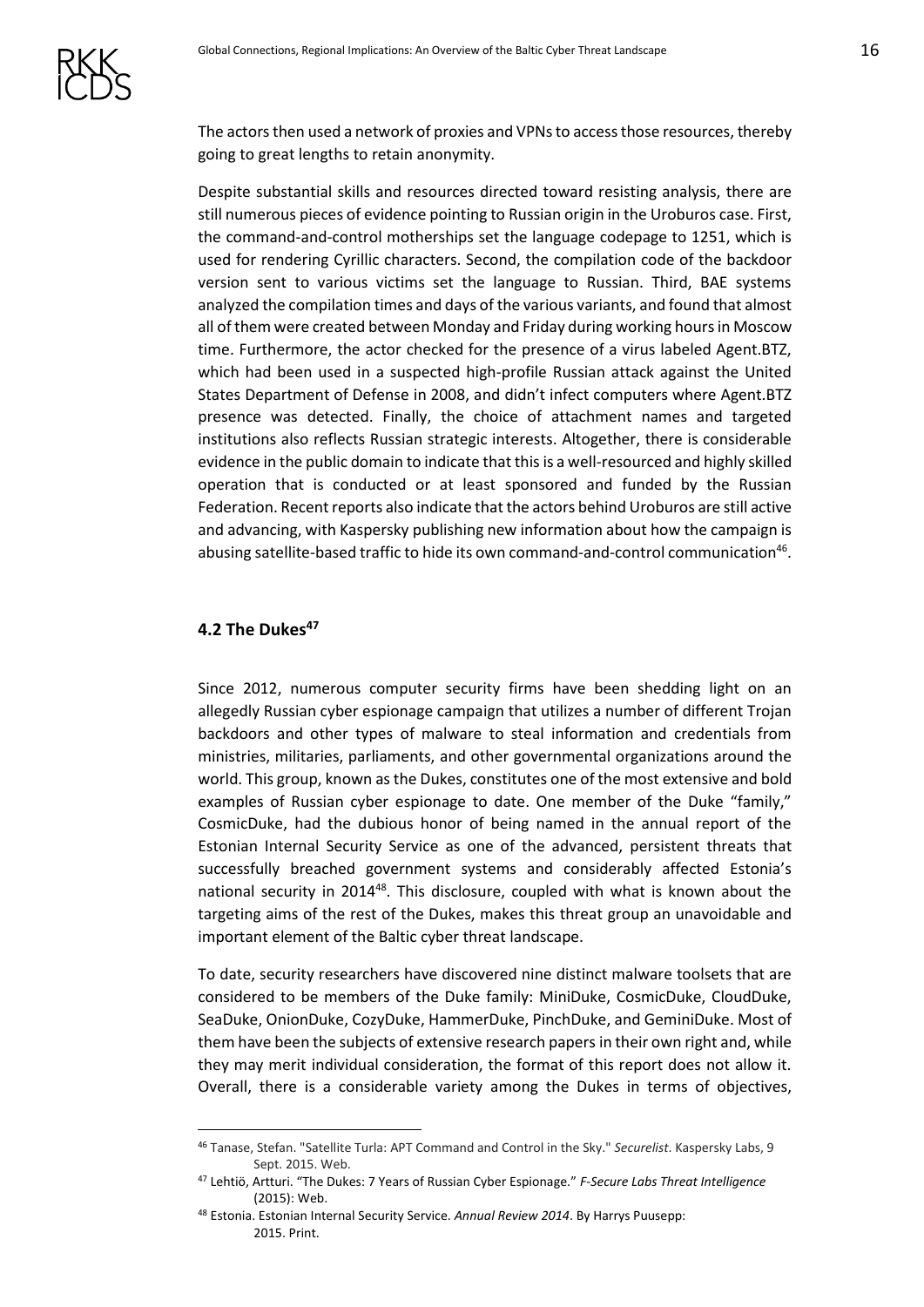The actors then used a network of proxies and VPNs to access those resources, thereby going to great lengths to retain anonymity.

Despite substantial skills and resources directed toward resisting analysis, there are still numerous pieces of evidence pointing to Russian origin in the Uroburos case. First, the command-and-control motherships set the language codepage to 1251, which is used for rendering Cyrillic characters. Second, the compilation code of the backdoor version sent to various victims set the language to Russian. Third, BAE systems analyzed the compilation times and days of the various variants, and found that almost all of them were created between Monday and Friday during working hours in Moscow time. Furthermore, the actor checked for the presence of a virus labeled Agent.BTZ, which had been used in a suspected high-profile Russian attack against the United States Department of Defense in 2008, and didn't infect computers where Agent.BTZ presence was detected. Finally, the choice of attachment names and targeted institutions also reflects Russian strategic interests. Altogether, there is considerable evidence in the public domain to indicate that this is a well-resourced and highly skilled operation that is conducted or at least sponsored and funded by the Russian Federation. Recent reports also indicate that the actors behind Uroburos are still active and advancing, with Kaspersky publishing new information about how the campaign is abusing satellite-based traffic to hide its own command-and-control communication<sup>46</sup>.

#### <span id="page-15-0"></span>**4.2 The Dukes<sup>47</sup>**

<u>.</u>

Since 2012, numerous computer security firms have been shedding light on an allegedly Russian cyber espionage campaign that utilizes a number of different Trojan backdoors and other types of malware to steal information and credentials from ministries, militaries, parliaments, and other governmental organizations around the world. This group, known as the Dukes, constitutes one of the most extensive and bold examples of Russian cyber espionage to date. One member of the Duke "family," CosmicDuke, had the dubious honor of being named in the annual report of the Estonian Internal Security Service as one of the advanced, persistent threats that successfully breached government systems and considerably affected Estonia's national security in 2014<sup>48</sup>. This disclosure, coupled with what is known about the targeting aims of the rest of the Dukes, makes this threat group an unavoidable and important element of the Baltic cyber threat landscape.

To date, security researchers have discovered nine distinct malware toolsets that are considered to be members of the Duke family: MiniDuke, CosmicDuke, CloudDuke, SeaDuke, OnionDuke, CozyDuke, HammerDuke, PinchDuke, and GeminiDuke. Most of them have been the subjects of extensive research papers in their own right and, while they may merit individual consideration, the format of this report does not allow it. Overall, there is a considerable variety among the Dukes in terms of objectives,

<sup>46</sup> Tanase, Stefan. "Satellite Turla: APT Command and Control in the Sky." *Securelist*. Kaspersky Labs, 9 Sept. 2015. Web.

<sup>47</sup> Lehtiö, Artturi. "The Dukes: 7 Years of Russian Cyber Espionage." *F-Secure Labs Threat Intelligence*  (2015): Web.

<sup>48</sup> Estonia. Estonian Internal Security Service. *Annual Review 2014*. By Harrys Puusepp: 2015. Print.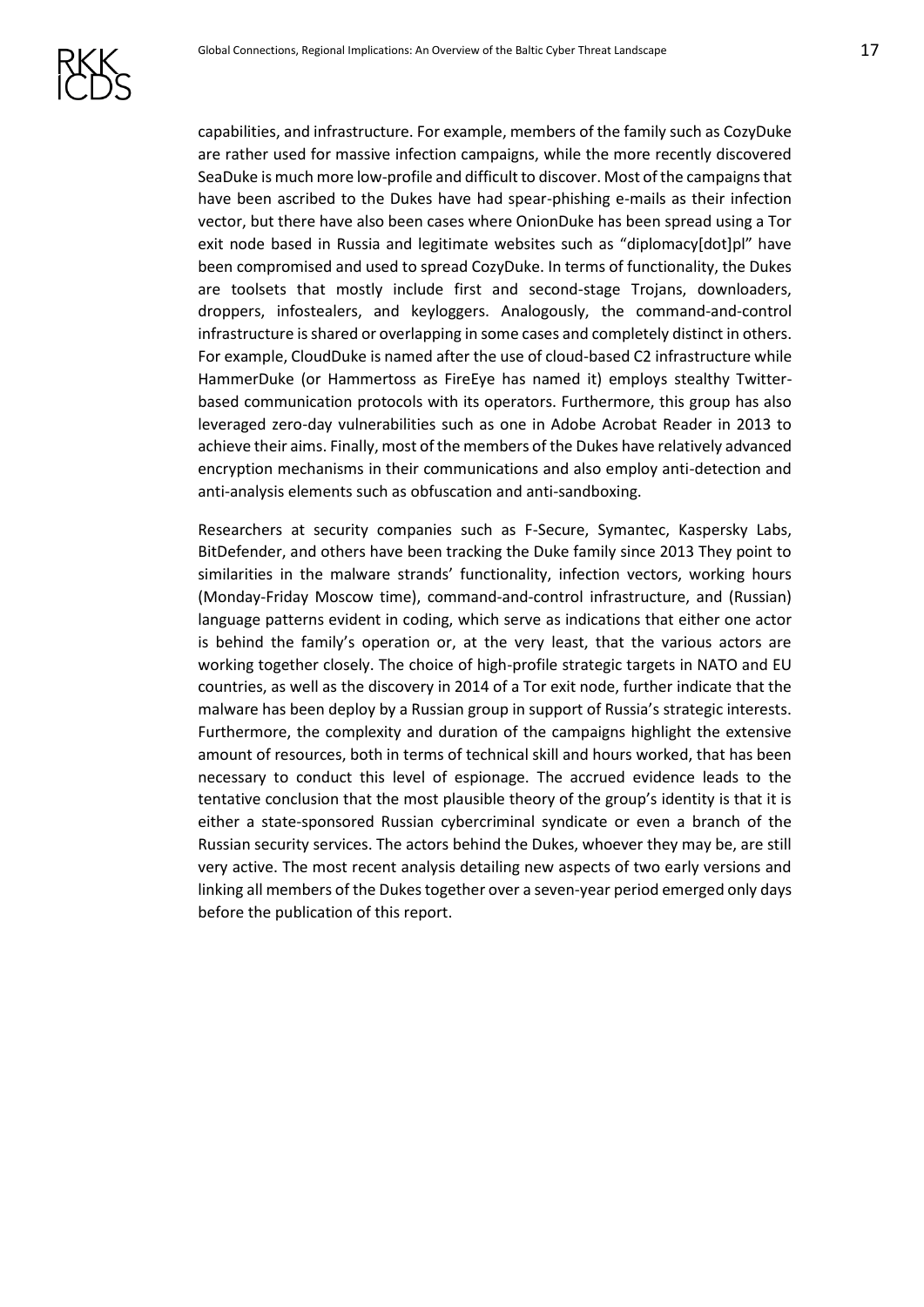

capabilities, and infrastructure. For example, members of the family such as CozyDuke are rather used for massive infection campaigns, while the more recently discovered SeaDuke is much more low-profile and difficult to discover. Most of the campaigns that have been ascribed to the Dukes have had spear-phishing e-mails as their infection vector, but there have also been cases where OnionDuke has been spread using a Tor exit node based in Russia and legitimate websites such as "diplomacy[dot]pl" have been compromised and used to spread CozyDuke. In terms of functionality, the Dukes are toolsets that mostly include first and second-stage Trojans, downloaders, droppers, infostealers, and keyloggers. Analogously, the command-and-control infrastructure is shared or overlapping in some cases and completely distinct in others. For example, CloudDuke is named after the use of cloud-based C2 infrastructure while HammerDuke (or Hammertoss as FireEye has named it) employs stealthy Twitterbased communication protocols with its operators. Furthermore, this group has also leveraged zero-day vulnerabilities such as one in Adobe Acrobat Reader in 2013 to achieve their aims. Finally, most of the members of the Dukes have relatively advanced encryption mechanisms in their communications and also employ anti-detection and anti-analysis elements such as obfuscation and anti-sandboxing.

Researchers at security companies such as F-Secure, Symantec, Kaspersky Labs, BitDefender, and others have been tracking the Duke family since 2013 They point to similarities in the malware strands' functionality, infection vectors, working hours (Monday-Friday Moscow time), command-and-control infrastructure, and (Russian) language patterns evident in coding, which serve as indications that either one actor is behind the family's operation or, at the very least, that the various actors are working together closely. The choice of high-profile strategic targets in NATO and EU countries, as well as the discovery in 2014 of a Tor exit node, further indicate that the malware has been deploy by a Russian group in support of Russia's strategic interests. Furthermore, the complexity and duration of the campaigns highlight the extensive amount of resources, both in terms of technical skill and hours worked, that has been necessary to conduct this level of espionage. The accrued evidence leads to the tentative conclusion that the most plausible theory of the group's identity is that it is either a state-sponsored Russian cybercriminal syndicate or even a branch of the Russian security services. The actors behind the Dukes, whoever they may be, are still very active. The most recent analysis detailing new aspects of two early versions and linking all members of the Dukes together over a seven-year period emerged only days before the publication of this report.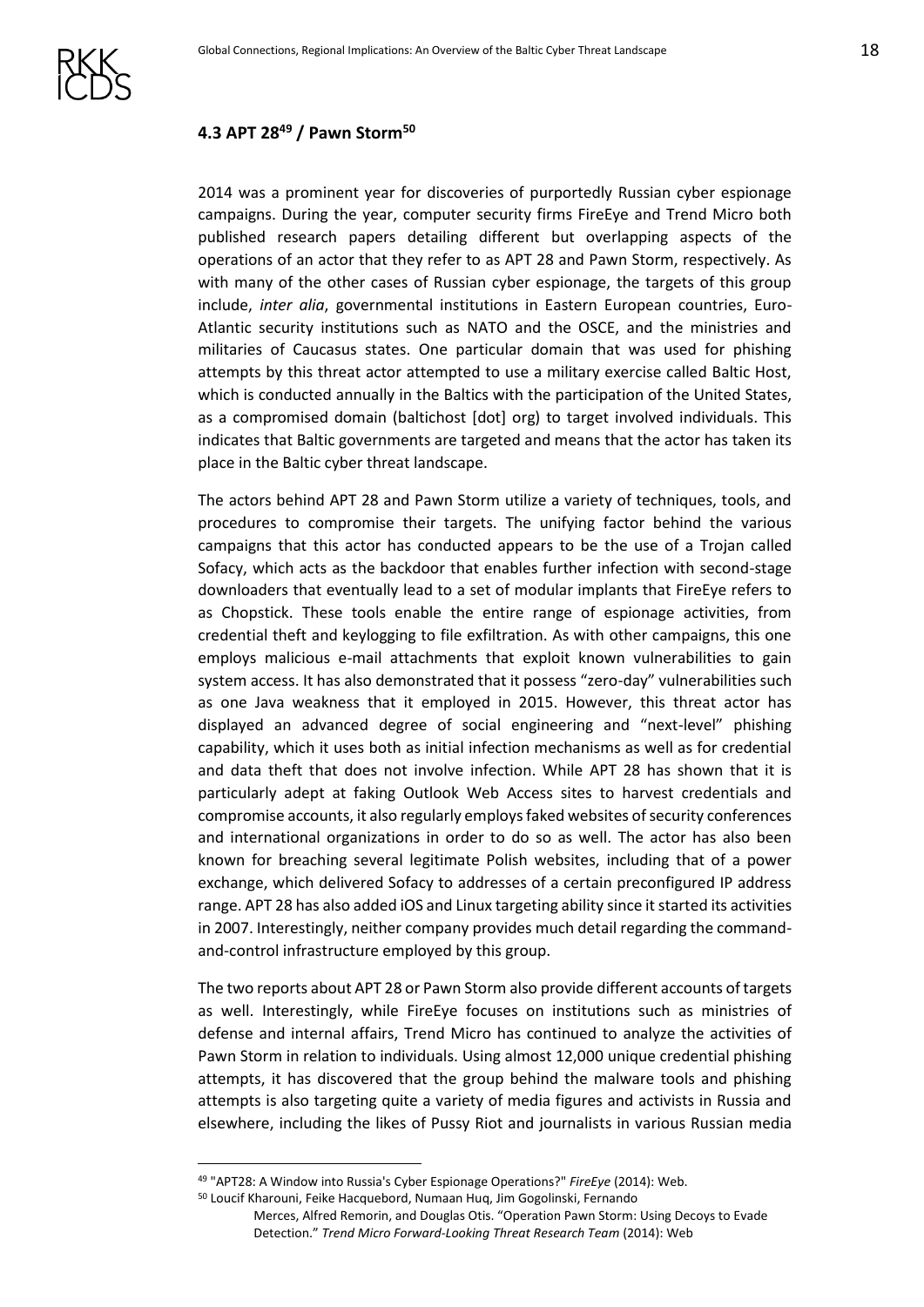

## <span id="page-17-0"></span>**4.3 APT 28<sup>49</sup> / Pawn Storm<sup>50</sup>**

2014 was a prominent year for discoveries of purportedly Russian cyber espionage campaigns. During the year, computer security firms FireEye and Trend Micro both published research papers detailing different but overlapping aspects of the operations of an actor that they refer to as APT 28 and Pawn Storm, respectively. As with many of the other cases of Russian cyber espionage, the targets of this group include, *inter alia*, governmental institutions in Eastern European countries, Euro-Atlantic security institutions such as NATO and the OSCE, and the ministries and militaries of Caucasus states. One particular domain that was used for phishing attempts by this threat actor attempted to use a military exercise called Baltic Host, which is conducted annually in the Baltics with the participation of the United States, as a compromised domain (baltichost [dot] org) to target involved individuals. This indicates that Baltic governments are targeted and means that the actor has taken its place in the Baltic cyber threat landscape.

The actors behind APT 28 and Pawn Storm utilize a variety of techniques, tools, and procedures to compromise their targets. The unifying factor behind the various campaigns that this actor has conducted appears to be the use of a Trojan called Sofacy, which acts as the backdoor that enables further infection with second-stage downloaders that eventually lead to a set of modular implants that FireEye refers to as Chopstick. These tools enable the entire range of espionage activities, from credential theft and keylogging to file exfiltration. As with other campaigns, this one employs malicious e-mail attachments that exploit known vulnerabilities to gain system access. It has also demonstrated that it possess "zero-day" vulnerabilities such as one Java weakness that it employed in 2015. However, this threat actor has displayed an advanced degree of social engineering and "next-level" phishing capability, which it uses both as initial infection mechanisms as well as for credential and data theft that does not involve infection. While APT 28 has shown that it is particularly adept at faking Outlook Web Access sites to harvest credentials and compromise accounts, it also regularly employs faked websites of security conferences and international organizations in order to do so as well. The actor has also been known for breaching several legitimate Polish websites, including that of a power exchange, which delivered Sofacy to addresses of a certain preconfigured IP address range. APT 28 has also added iOS and Linux targeting ability since it started its activities in 2007. Interestingly, neither company provides much detail regarding the commandand-control infrastructure employed by this group.

The two reports about APT 28 or Pawn Storm also provide different accounts of targets as well. Interestingly, while FireEye focuses on institutions such as ministries of defense and internal affairs, Trend Micro has continued to analyze the activities of Pawn Storm in relation to individuals. Using almost 12,000 unique credential phishing attempts, it has discovered that the group behind the malware tools and phishing attempts is also targeting quite a variety of media figures and activists in Russia and elsewhere, including the likes of Pussy Riot and journalists in various Russian media

<sup>49</sup> "APT28: A Window into Russia's Cyber Espionage Operations?" *FireEye* (2014): Web.

<sup>50</sup> Loucif Kharouni, Feike Hacquebord, Numaan Huq, Jim Gogolinski, Fernando

Merces, Alfred Remorin, and Douglas Otis. "Operation Pawn Storm: Using Decoys to Evade Detection." *Trend Micro Forward-Looking Threat Research Team* (2014): Web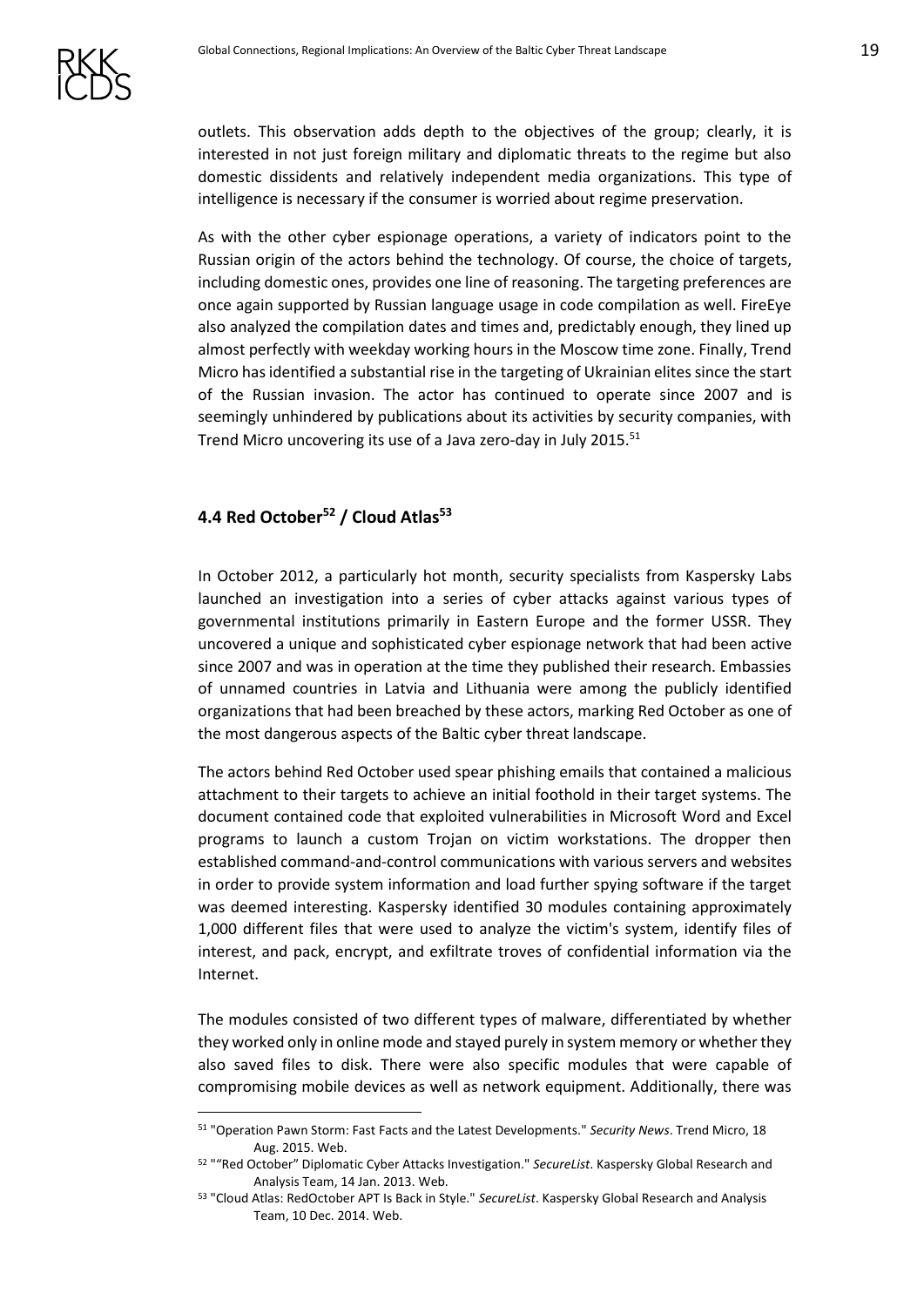outlets. This observation adds depth to the objectives of the group; clearly, it is interested in not just foreign military and diplomatic threats to the regime but also domestic dissidents and relatively independent media organizations. This type of intelligence is necessary if the consumer is worried about regime preservation.

As with the other cyber espionage operations, a variety of indicators point to the Russian origin of the actors behind the technology. Of course, the choice of targets, including domestic ones, provides one line of reasoning. The targeting preferences are once again supported by Russian language usage in code compilation as well. FireEye also analyzed the compilation dates and times and, predictably enough, they lined up almost perfectly with weekday working hours in the Moscow time zone. Finally, Trend Micro has identified a substantial rise in the targeting of Ukrainian elites since the start of the Russian invasion. The actor has continued to operate since 2007 and is seemingly unhindered by publications about its activities by security companies, with Trend Micro uncovering its use of a Java zero-day in July 2015.<sup>51</sup>

## <span id="page-18-0"></span>**4.4 Red October<sup>52</sup> / Cloud Atlas<sup>53</sup>**

1

In October 2012, a particularly hot month, security specialists from Kaspersky Labs launched an investigation into a series of cyber attacks against various types of governmental institutions primarily in Eastern Europe and the former USSR. They uncovered a unique and sophisticated cyber espionage network that had been active since 2007 and was in operation at the time they published their research. Embassies of unnamed countries in Latvia and Lithuania were among the publicly identified organizations that had been breached by these actors, marking Red October as one of the most dangerous aspects of the Baltic cyber threat landscape.

The actors behind Red October used spear phishing emails that contained a malicious attachment to their targets to achieve an initial foothold in their target systems. The document contained code that exploited vulnerabilities in Microsoft Word and Excel programs to launch a custom Trojan on victim workstations. The dropper then established command-and-control communications with various servers and websites in order to provide system information and load further spying software if the target was deemed interesting. Kaspersky identified 30 modules containing approximately 1,000 different files that were used to analyze the victim's system, identify files of interest, and pack, encrypt, and exfiltrate troves of confidential information via the Internet.

The modules consisted of two different types of malware, differentiated by whether they worked only in online mode and stayed purely in system memory or whether they also saved files to disk. There were also specific modules that were capable of compromising mobile devices as well as network equipment. Additionally, there was

<sup>51</sup> "Operation Pawn Storm: Fast Facts and the Latest Developments." *Security News*. Trend Micro, 18 Aug. 2015. Web.

<sup>52</sup> ""Red October" Diplomatic Cyber Attacks Investigation." *SecureList*. Kaspersky Global Research and Analysis Team, 14 Jan. 2013. Web.

<sup>53</sup> "Cloud Atlas: RedOctober APT Is Back in Style." *SecureList*. Kaspersky Global Research and Analysis Team, 10 Dec. 2014. Web.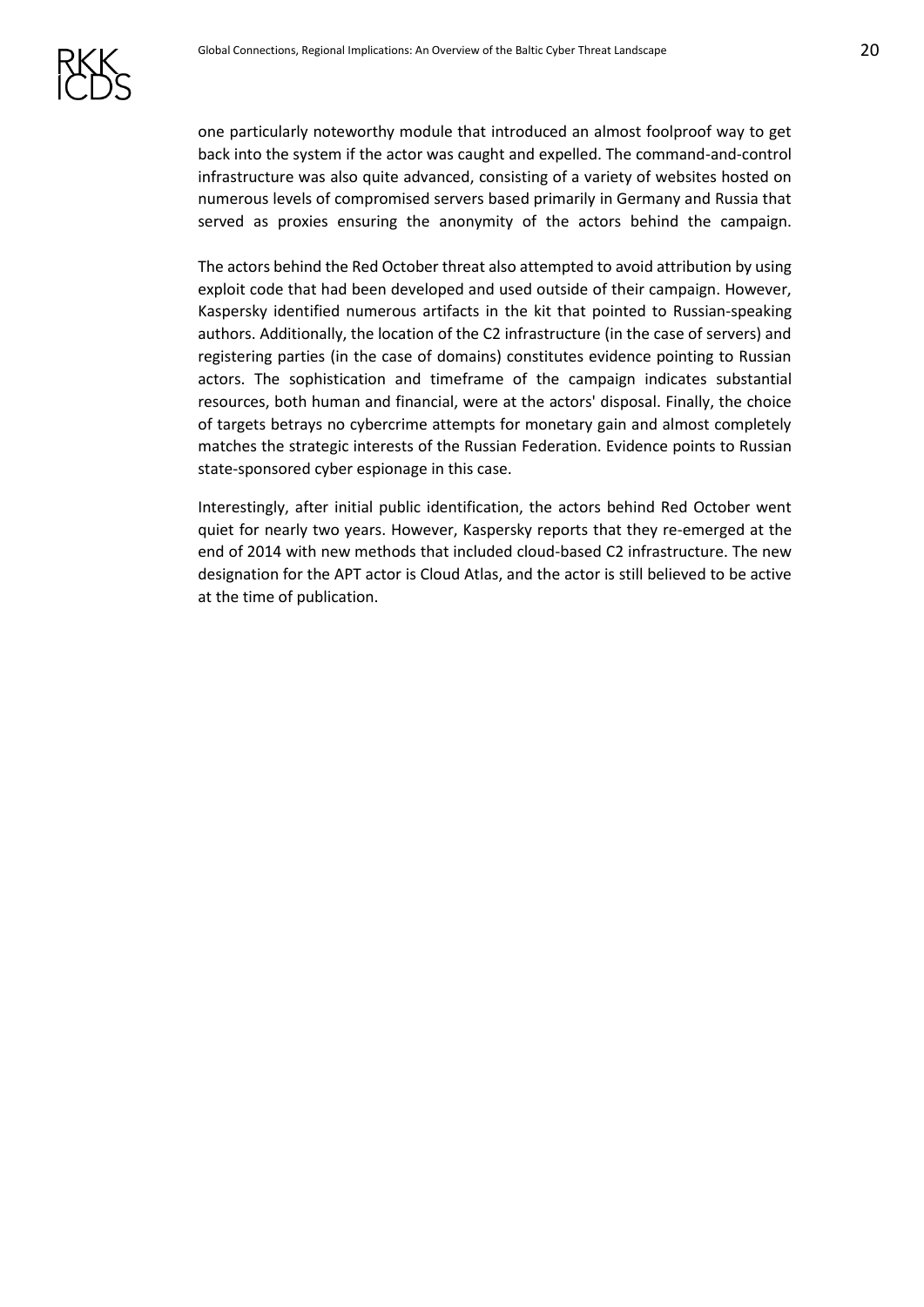

one particularly noteworthy module that introduced an almost foolproof way to get back into the system if the actor was caught and expelled. The command-and-control infrastructure was also quite advanced, consisting of a variety of websites hosted on numerous levels of compromised servers based primarily in Germany and Russia that served as proxies ensuring the anonymity of the actors behind the campaign.

The actors behind the Red October threat also attempted to avoid attribution by using exploit code that had been developed and used outside of their campaign. However, Kaspersky identified numerous artifacts in the kit that pointed to Russian-speaking authors. Additionally, the location of the C2 infrastructure (in the case of servers) and registering parties (in the case of domains) constitutes evidence pointing to Russian actors. The sophistication and timeframe of the campaign indicates substantial resources, both human and financial, were at the actors' disposal. Finally, the choice of targets betrays no cybercrime attempts for monetary gain and almost completely matches the strategic interests of the Russian Federation. Evidence points to Russian state-sponsored cyber espionage in this case.

Interestingly, after initial public identification, the actors behind Red October went quiet for nearly two years. However, Kaspersky reports that they re-emerged at the end of 2014 with new methods that included cloud-based C2 infrastructure. The new designation for the APT actor is Cloud Atlas, and the actor is still believed to be active at the time of publication.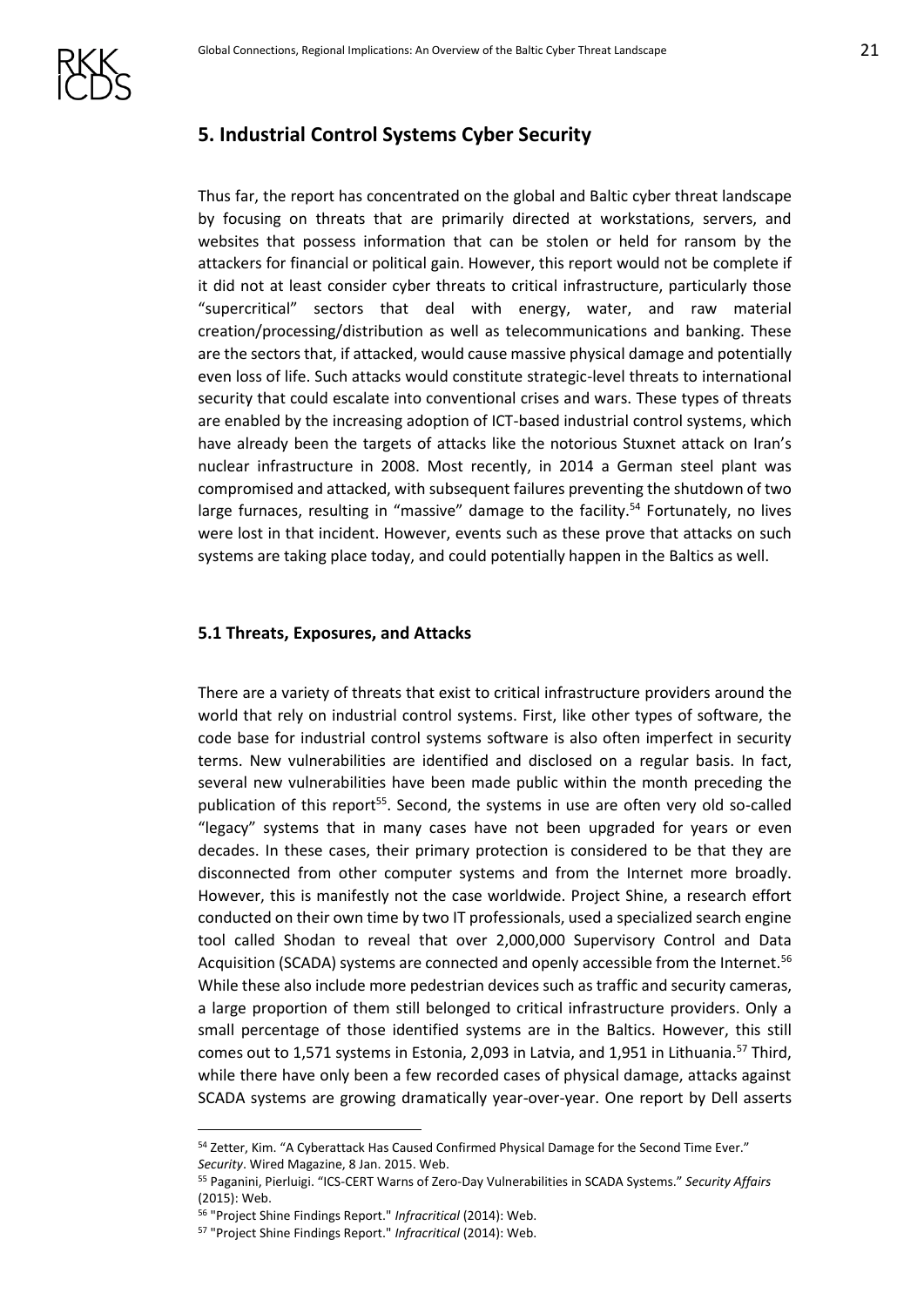

## <span id="page-20-0"></span>**5. Industrial Control Systems Cyber Security**

Thus far, the report has concentrated on the global and Baltic cyber threat landscape by focusing on threats that are primarily directed at workstations, servers, and websites that possess information that can be stolen or held for ransom by the attackers for financial or political gain. However, this report would not be complete if it did not at least consider cyber threats to critical infrastructure, particularly those "supercritical" sectors that deal with energy, water, and raw material creation/processing/distribution as well as telecommunications and banking. These are the sectors that, if attacked, would cause massive physical damage and potentially even loss of life. Such attacks would constitute strategic-level threats to international security that could escalate into conventional crises and wars. These types of threats are enabled by the increasing adoption of ICT-based industrial control systems, which have already been the targets of attacks like the notorious Stuxnet attack on Iran's nuclear infrastructure in 2008. Most recently, in 2014 a German steel plant was compromised and attacked, with subsequent failures preventing the shutdown of two large furnaces, resulting in "massive" damage to the facility.<sup>54</sup> Fortunately, no lives were lost in that incident. However, events such as these prove that attacks on such systems are taking place today, and could potentially happen in the Baltics as well.

#### <span id="page-20-1"></span>**5.1 Threats, Exposures, and Attacks**

There are a variety of threats that exist to critical infrastructure providers around the world that rely on industrial control systems. First, like other types of software, the code base for industrial control systems software is also often imperfect in security terms. New vulnerabilities are identified and disclosed on a regular basis. In fact, several new vulnerabilities have been made public within the month preceding the publication of this report<sup>55</sup>. Second, the systems in use are often very old so-called "legacy" systems that in many cases have not been upgraded for years or even decades. In these cases, their primary protection is considered to be that they are disconnected from other computer systems and from the Internet more broadly. However, this is manifestly not the case worldwide. Project Shine, a research effort conducted on their own time by two IT professionals, used a specialized search engine tool called Shodan to reveal that over 2,000,000 Supervisory Control and Data Acquisition (SCADA) systems are connected and openly accessible from the Internet.<sup>56</sup> While these also include more pedestrian devices such as traffic and security cameras, a large proportion of them still belonged to critical infrastructure providers. Only a small percentage of those identified systems are in the Baltics. However, this still comes out to 1,571 systems in Estonia, 2,093 in Latvia, and 1,951 in Lithuania.<sup>57</sup> Third, while there have only been a few recorded cases of physical damage, attacks against SCADA systems are growing dramatically year-over-year. One report by Dell asserts

<u>.</u>

<sup>54</sup> Zetter, Kim. "A Cyberattack Has Caused Confirmed Physical Damage for the Second Time Ever." *Security*. Wired Magazine, 8 Jan. 2015. Web.

<sup>55</sup> Paganini, Pierluigi. "ICS-CERT Warns of Zero-Day Vulnerabilities in SCADA Systems." *Security Affairs*  (2015): Web.

<sup>56</sup> "Project Shine Findings Report." *Infracritical* (2014): Web.

<sup>57</sup> "Project Shine Findings Report." *Infracritical* (2014): Web.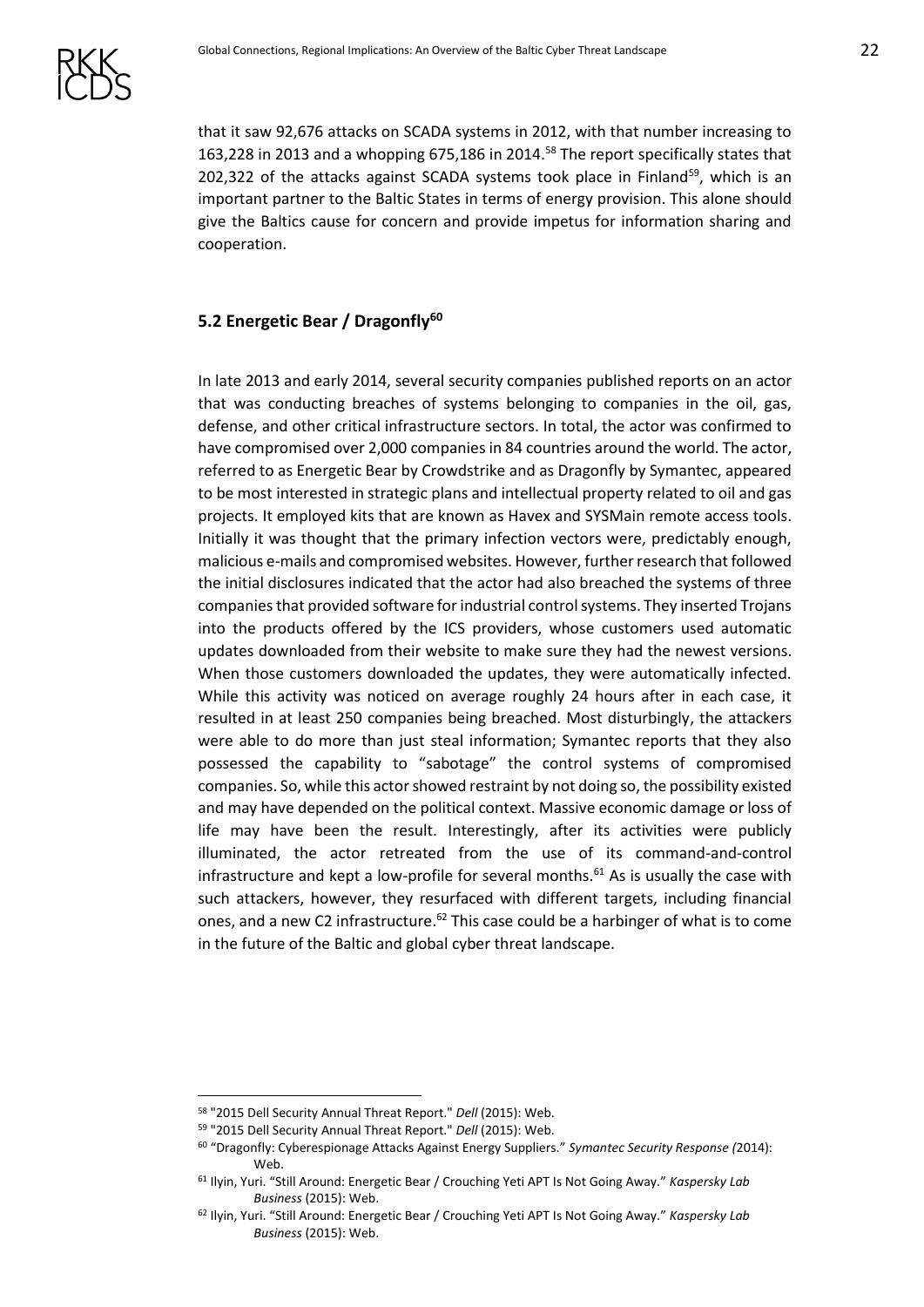that it saw 92,676 attacks on SCADA systems in 2012, with that number increasing to 163,228 in 2013 and a whopping 675,186 in 2014.<sup>58</sup> The report specifically states that 202,322 of the attacks against SCADA systems took place in Finland<sup>59</sup>, which is an important partner to the Baltic States in terms of energy provision. This alone should give the Baltics cause for concern and provide impetus for information sharing and cooperation.

#### <span id="page-21-0"></span>**5.2 Energetic Bear / Dragonfly<sup>60</sup>**

In late 2013 and early 2014, several security companies published reports on an actor that was conducting breaches of systems belonging to companies in the oil, gas, defense, and other critical infrastructure sectors. In total, the actor was confirmed to have compromised over 2,000 companies in 84 countries around the world. The actor, referred to as Energetic Bear by Crowdstrike and as Dragonfly by Symantec, appeared to be most interested in strategic plans and intellectual property related to oil and gas projects. It employed kits that are known as Havex and SYSMain remote access tools. Initially it was thought that the primary infection vectors were, predictably enough, malicious e-mails and compromised websites. However, further research that followed the initial disclosures indicated that the actor had also breached the systems of three companies that provided software for industrial control systems. They inserted Trojans into the products offered by the ICS providers, whose customers used automatic updates downloaded from their website to make sure they had the newest versions. When those customers downloaded the updates, they were automatically infected. While this activity was noticed on average roughly 24 hours after in each case, it resulted in at least 250 companies being breached. Most disturbingly, the attackers were able to do more than just steal information; Symantec reports that they also possessed the capability to "sabotage" the control systems of compromised companies. So, while this actor showed restraint by not doing so, the possibility existed and may have depended on the political context. Massive economic damage or loss of life may have been the result. Interestingly, after its activities were publicly illuminated, the actor retreated from the use of its command-and-control infrastructure and kept a low-profile for several months.<sup>61</sup> As is usually the case with such attackers, however, they resurfaced with different targets, including financial ones, and a new C2 infrastructure.<sup>62</sup> This case could be a harbinger of what is to come in the future of the Baltic and global cyber threat landscape.

<sup>58</sup> "2015 Dell Security Annual Threat Report." *Dell* (2015): Web.

<sup>59</sup> "2015 Dell Security Annual Threat Report." *Dell* (2015): Web.

<sup>60</sup> "Dragonfly: Cyberespionage Attacks Against Energy Suppliers." *Symantec Security Response (*2014): Web.

<sup>61</sup> Ilyin, Yuri. "Still Around: Energetic Bear / Crouching Yeti APT Is Not Going Away." *Kaspersky Lab Business* (2015): Web.

<sup>62</sup> Ilyin, Yuri. "Still Around: Energetic Bear / Crouching Yeti APT Is Not Going Away." *Kaspersky Lab Business* (2015): Web.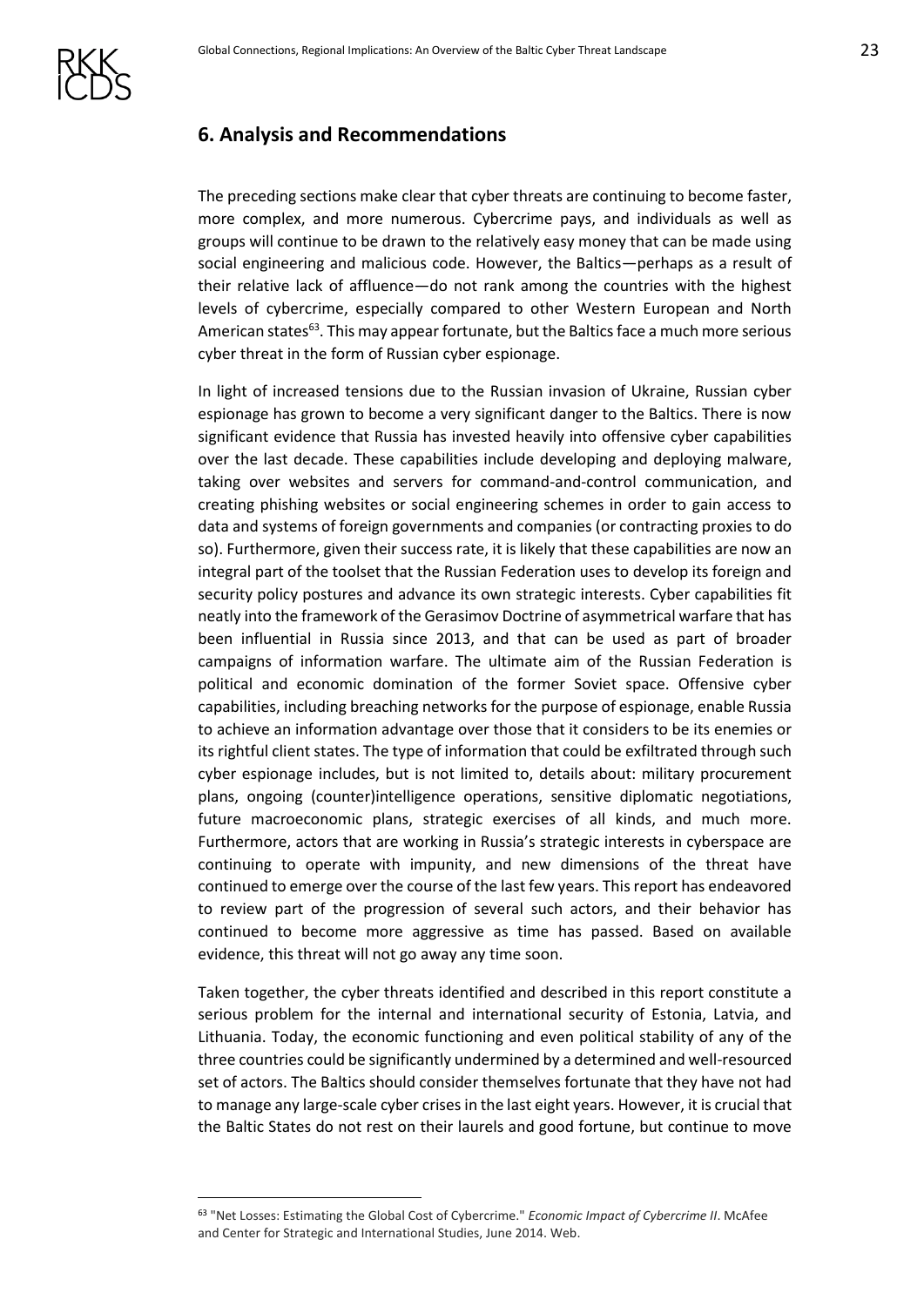# <span id="page-22-0"></span>**6. Analysis and Recommendations**

The preceding sections make clear that cyber threats are continuing to become faster, more complex, and more numerous. Cybercrime pays, and individuals as well as groups will continue to be drawn to the relatively easy money that can be made using social engineering and malicious code. However, the Baltics—perhaps as a result of their relative lack of affluence—do not rank among the countries with the highest levels of cybercrime, especially compared to other Western European and North American states<sup>63</sup>. This may appear fortunate, but the Baltics face a much more serious cyber threat in the form of Russian cyber espionage.

In light of increased tensions due to the Russian invasion of Ukraine, Russian cyber espionage has grown to become a very significant danger to the Baltics. There is now significant evidence that Russia has invested heavily into offensive cyber capabilities over the last decade. These capabilities include developing and deploying malware, taking over websites and servers for command-and-control communication, and creating phishing websites or social engineering schemes in order to gain access to data and systems of foreign governments and companies (or contracting proxies to do so). Furthermore, given their success rate, it is likely that these capabilities are now an integral part of the toolset that the Russian Federation uses to develop its foreign and security policy postures and advance its own strategic interests. Cyber capabilities fit neatly into the framework of the Gerasimov Doctrine of asymmetrical warfare that has been influential in Russia since 2013, and that can be used as part of broader campaigns of information warfare. The ultimate aim of the Russian Federation is political and economic domination of the former Soviet space. Offensive cyber capabilities, including breaching networks for the purpose of espionage, enable Russia to achieve an information advantage over those that it considers to be its enemies or its rightful client states. The type of information that could be exfiltrated through such cyber espionage includes, but is not limited to, details about: military procurement plans, ongoing (counter)intelligence operations, sensitive diplomatic negotiations, future macroeconomic plans, strategic exercises of all kinds, and much more. Furthermore, actors that are working in Russia's strategic interests in cyberspace are continuing to operate with impunity, and new dimensions of the threat have continued to emerge over the course of the last few years. This report has endeavored to review part of the progression of several such actors, and their behavior has continued to become more aggressive as time has passed. Based on available evidence, this threat will not go away any time soon.

Taken together, the cyber threats identified and described in this report constitute a serious problem for the internal and international security of Estonia, Latvia, and Lithuania. Today, the economic functioning and even political stability of any of the three countries could be significantly undermined by a determined and well-resourced set of actors. The Baltics should consider themselves fortunate that they have not had to manage any large-scale cyber crises in the last eight years. However, it is crucial that the Baltic States do not rest on their laurels and good fortune, but continue to move

<sup>63</sup> "Net Losses: Estimating the Global Cost of Cybercrime." *Economic Impact of Cybercrime II*. McAfee and Center for Strategic and International Studies, June 2014. Web.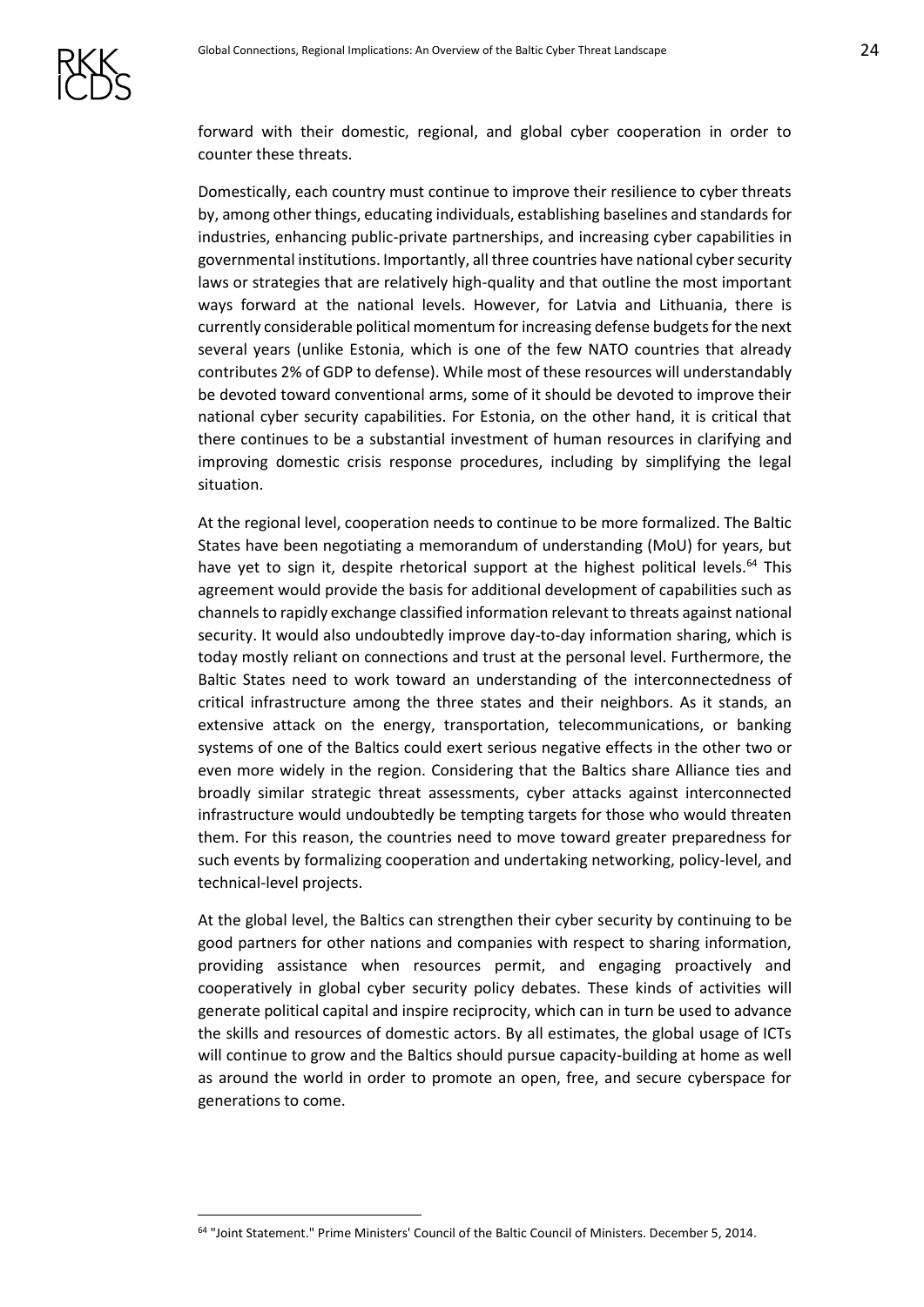forward with their domestic, regional, and global cyber cooperation in order to counter these threats.

Domestically, each country must continue to improve their resilience to cyber threats by, among other things, educating individuals, establishing baselines and standards for industries, enhancing public-private partnerships, and increasing cyber capabilities in governmental institutions. Importantly, all three countries have national cyber security laws or strategies that are relatively high-quality and that outline the most important ways forward at the national levels. However, for Latvia and Lithuania, there is currently considerable political momentum for increasing defense budgets for the next several years (unlike Estonia, which is one of the few NATO countries that already contributes 2% of GDP to defense). While most of these resources will understandably be devoted toward conventional arms, some of it should be devoted to improve their national cyber security capabilities. For Estonia, on the other hand, it is critical that there continues to be a substantial investment of human resources in clarifying and improving domestic crisis response procedures, including by simplifying the legal situation.

At the regional level, cooperation needs to continue to be more formalized. The Baltic States have been negotiating a memorandum of understanding (MoU) for years, but have yet to sign it, despite rhetorical support at the highest political levels.<sup>64</sup> This agreement would provide the basis for additional development of capabilities such as channels to rapidly exchange classified information relevant to threats against national security. It would also undoubtedly improve day-to-day information sharing, which is today mostly reliant on connections and trust at the personal level. Furthermore, the Baltic States need to work toward an understanding of the interconnectedness of critical infrastructure among the three states and their neighbors. As it stands, an extensive attack on the energy, transportation, telecommunications, or banking systems of one of the Baltics could exert serious negative effects in the other two or even more widely in the region. Considering that the Baltics share Alliance ties and broadly similar strategic threat assessments, cyber attacks against interconnected infrastructure would undoubtedly be tempting targets for those who would threaten them. For this reason, the countries need to move toward greater preparedness for such events by formalizing cooperation and undertaking networking, policy-level, and technical-level projects.

At the global level, the Baltics can strengthen their cyber security by continuing to be good partners for other nations and companies with respect to sharing information, providing assistance when resources permit, and engaging proactively and cooperatively in global cyber security policy debates. These kinds of activities will generate political capital and inspire reciprocity, which can in turn be used to advance the skills and resources of domestic actors. By all estimates, the global usage of ICTs will continue to grow and the Baltics should pursue capacity-building at home as well as around the world in order to promote an open, free, and secure cyberspace for generations to come.

<sup>64</sup> "Joint Statement." Prime Ministers' Council of the Baltic Council of Ministers. December 5, 2014.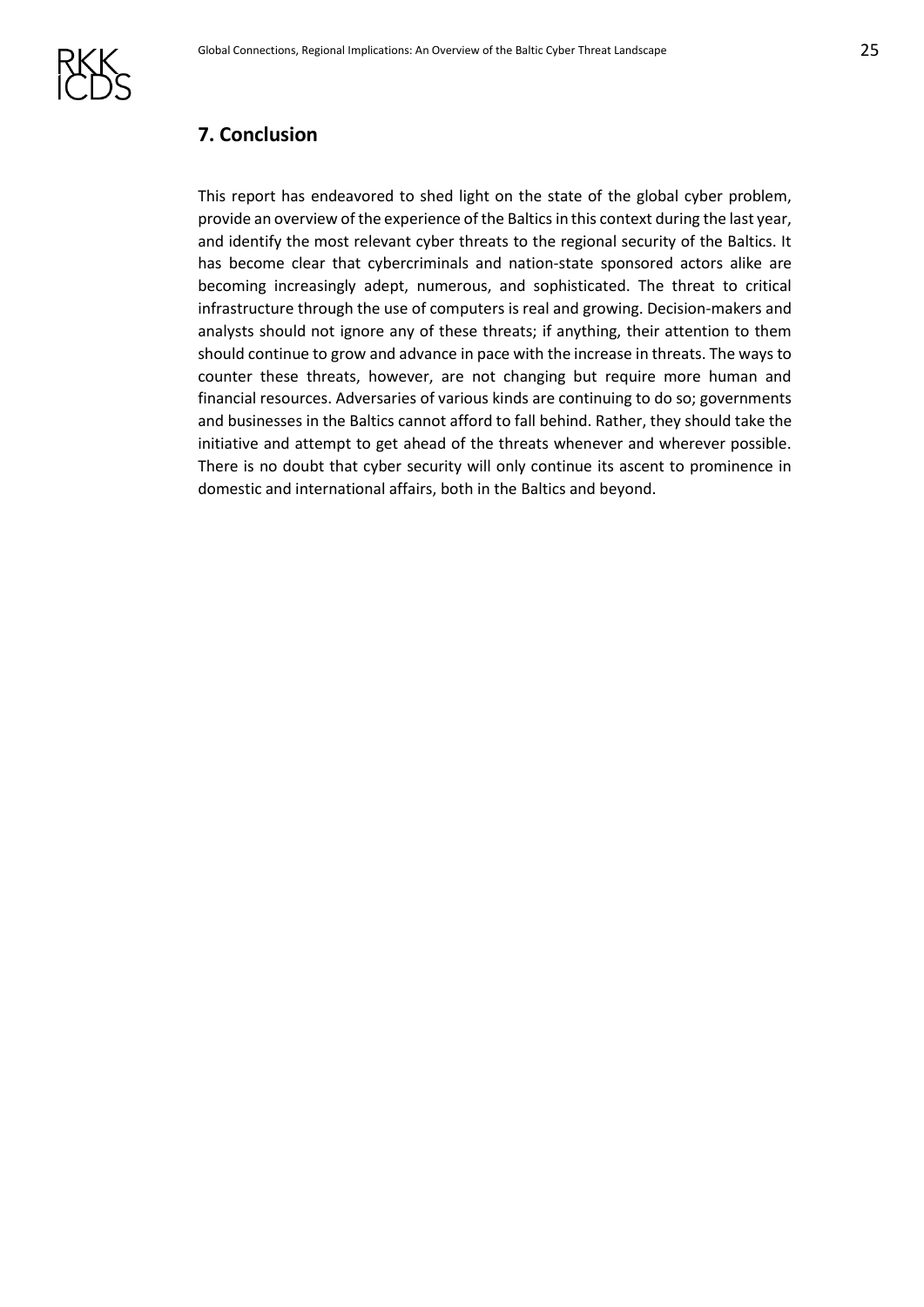

# <span id="page-24-0"></span>**7. Conclusion**

This report has endeavored to shed light on the state of the global cyber problem, provide an overview of the experience of the Baltics in this context during the last year, and identify the most relevant cyber threats to the regional security of the Baltics. It has become clear that cybercriminals and nation-state sponsored actors alike are becoming increasingly adept, numerous, and sophisticated. The threat to critical infrastructure through the use of computers is real and growing. Decision-makers and analysts should not ignore any of these threats; if anything, their attention to them should continue to grow and advance in pace with the increase in threats. The ways to counter these threats, however, are not changing but require more human and financial resources. Adversaries of various kinds are continuing to do so; governments and businesses in the Baltics cannot afford to fall behind. Rather, they should take the initiative and attempt to get ahead of the threats whenever and wherever possible. There is no doubt that cyber security will only continue its ascent to prominence in domestic and international affairs, both in the Baltics and beyond.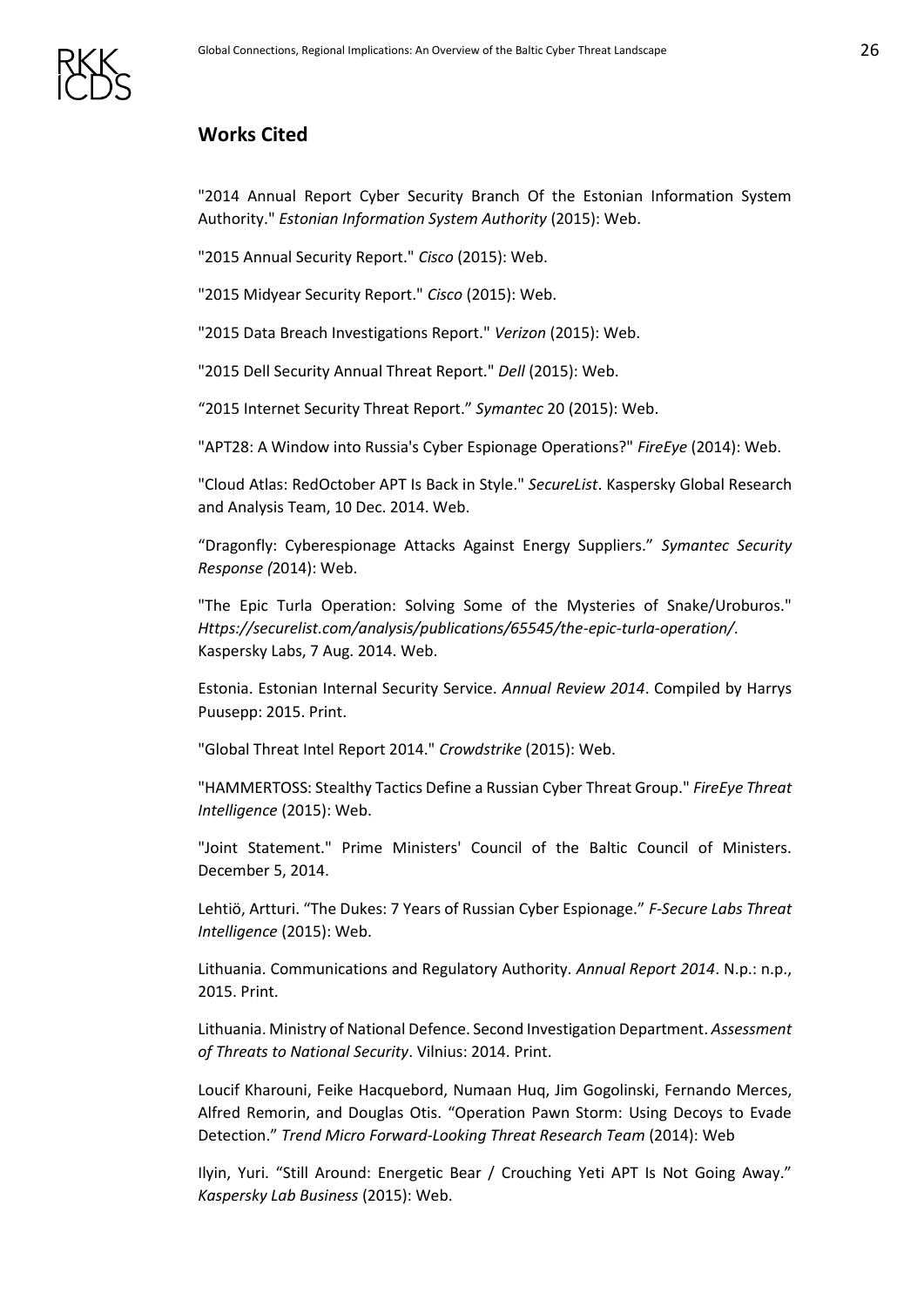

# <span id="page-25-0"></span>**Works Cited**

"2014 Annual Report Cyber Security Branch Of the Estonian Information System Authority." *Estonian Information System Authority* (2015): Web.

"2015 Annual Security Report." *Cisco* (2015): Web.

"2015 Midyear Security Report." *Cisco* (2015): Web.

"2015 Data Breach Investigations Report." *Verizon* (2015): Web.

"2015 Dell Security Annual Threat Report." *Dell* (2015): Web.

"2015 Internet Security Threat Report." *Symantec* 20 (2015): Web.

"APT28: A Window into Russia's Cyber Espionage Operations?" *FireEye* (2014): Web.

"Cloud Atlas: RedOctober APT Is Back in Style." *SecureList*. Kaspersky Global Research and Analysis Team, 10 Dec. 2014. Web.

"Dragonfly: Cyberespionage Attacks Against Energy Suppliers." *Symantec Security Response (*2014): Web.

"The Epic Turla Operation: Solving Some of the Mysteries of Snake/Uroburos." *Https://securelist.com/analysis/publications/65545/the-epic-turla-operation/*. Kaspersky Labs, 7 Aug. 2014. Web.

Estonia. Estonian Internal Security Service. *Annual Review 2014*. Compiled by Harrys Puusepp: 2015. Print.

"Global Threat Intel Report 2014." *Crowdstrike* (2015): Web.

"HAMMERTOSS: Stealthy Tactics Define a Russian Cyber Threat Group." *FireEye Threat Intelligence* (2015): Web.

"Joint Statement." Prime Ministers' Council of the Baltic Council of Ministers. December 5, 2014.

Lehtiö, Artturi. "The Dukes: 7 Years of Russian Cyber Espionage." *F-Secure Labs Threat Intelligence* (2015): Web.

Lithuania. Communications and Regulatory Authority. *Annual Report 2014*. N.p.: n.p., 2015. Print.

Lithuania. Ministry of National Defence. Second Investigation Department. *Assessment of Threats to National Security*. Vilnius: 2014. Print.

Loucif Kharouni, Feike Hacquebord, Numaan Huq, Jim Gogolinski, Fernando Merces, Alfred Remorin, and Douglas Otis. "Operation Pawn Storm: Using Decoys to Evade Detection." *Trend Micro Forward-Looking Threat Research Team* (2014): Web

Ilyin, Yuri. "Still Around: Energetic Bear / Crouching Yeti APT Is Not Going Away." *Kaspersky Lab Business* (2015): Web.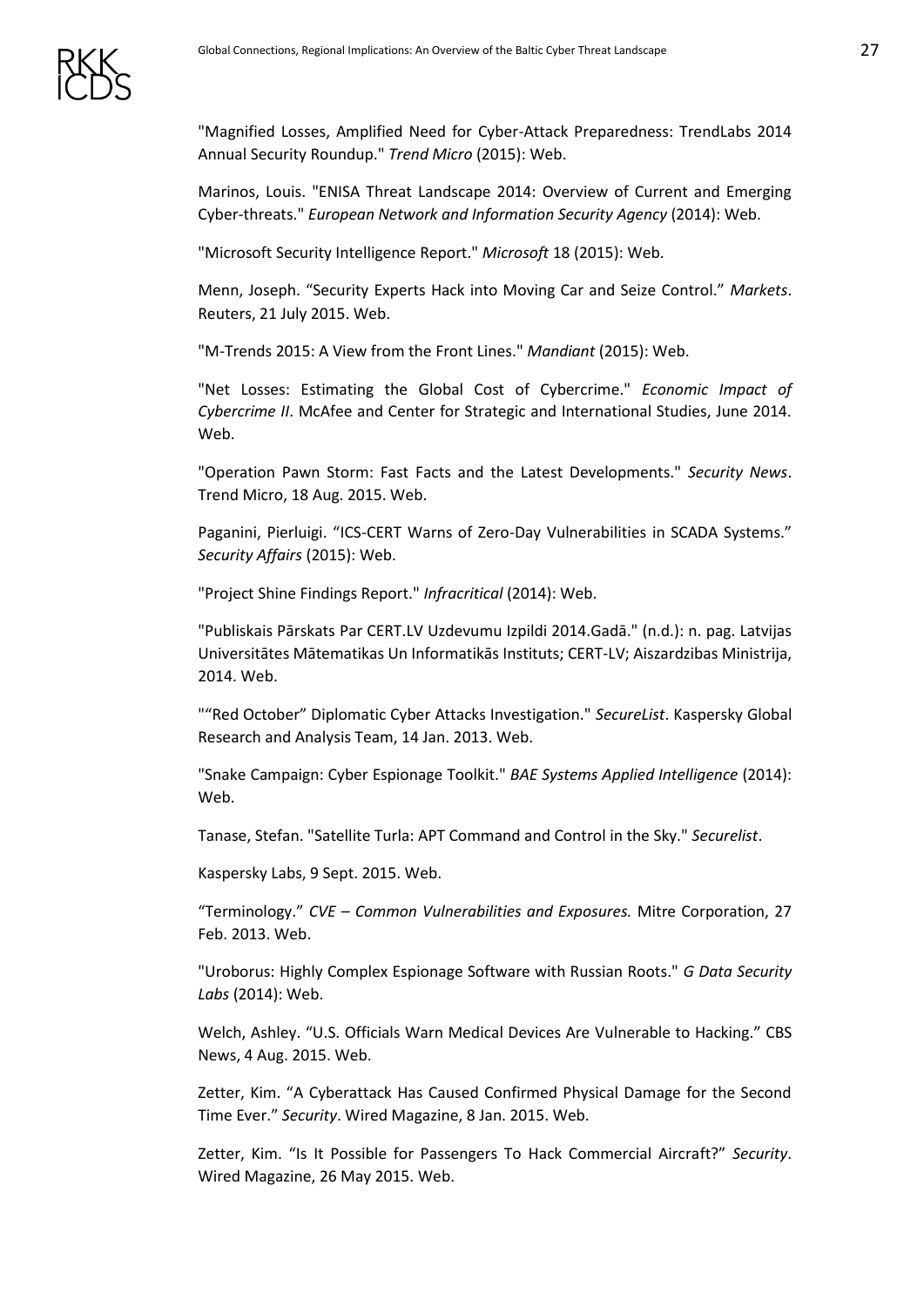"Magnified Losses, Amplified Need for Cyber-Attack Preparedness: TrendLabs 2014 Annual Security Roundup." *Trend Micro* (2015): Web.

Marinos, Louis. "ENISA Threat Landscape 2014: Overview of Current and Emerging Cyber-threats." *European Network and Information Security Agency* (2014): Web.

"Microsoft Security Intelligence Report." *Microsoft* 18 (2015): Web.

Menn, Joseph. "Security Experts Hack into Moving Car and Seize Control." *Markets*. Reuters, 21 July 2015. Web.

"M-Trends 2015: A View from the Front Lines." *Mandiant* (2015): Web.

"Net Losses: Estimating the Global Cost of Cybercrime." *Economic Impact of Cybercrime II*. McAfee and Center for Strategic and International Studies, June 2014. Web.

"Operation Pawn Storm: Fast Facts and the Latest Developments." *Security News*. Trend Micro, 18 Aug. 2015. Web.

Paganini, Pierluigi. "ICS-CERT Warns of Zero-Day Vulnerabilities in SCADA Systems." *Security Affairs* (2015): Web.

"Project Shine Findings Report." *Infracritical* (2014): Web.

"Publiskais Pārskats Par CERT.LV Uzdevumu Izpildi 2014.Gadā." (n.d.): n. pag. Latvijas Universitātes Mātematikas Un Informatikās Instituts; CERT-LV; Aiszardzibas Ministrija, 2014. Web.

""Red October" Diplomatic Cyber Attacks Investigation." *SecureList*. Kaspersky Global Research and Analysis Team, 14 Jan. 2013. Web.

"Snake Campaign: Cyber Espionage Toolkit." *BAE Systems Applied Intelligence* (2014): Web.

Tanase, Stefan. "Satellite Turla: APT Command and Control in the Sky." *Securelist*.

Kaspersky Labs, 9 Sept. 2015. Web.

"Terminology." *CVE – Common Vulnerabilities and Exposures.* Mitre Corporation, 27 Feb. 2013. Web.

"Uroborus: Highly Complex Espionage Software with Russian Roots." *G Data Security Labs* (2014): Web.

Welch, Ashley. "U.S. Officials Warn Medical Devices Are Vulnerable to Hacking." CBS News, 4 Aug. 2015. Web.

Zetter, Kim. "A Cyberattack Has Caused Confirmed Physical Damage for the Second Time Ever." *Security*. Wired Magazine, 8 Jan. 2015. Web.

Zetter, Kim. "Is It Possible for Passengers To Hack Commercial Aircraft?" *Security*. Wired Magazine, 26 May 2015. Web.